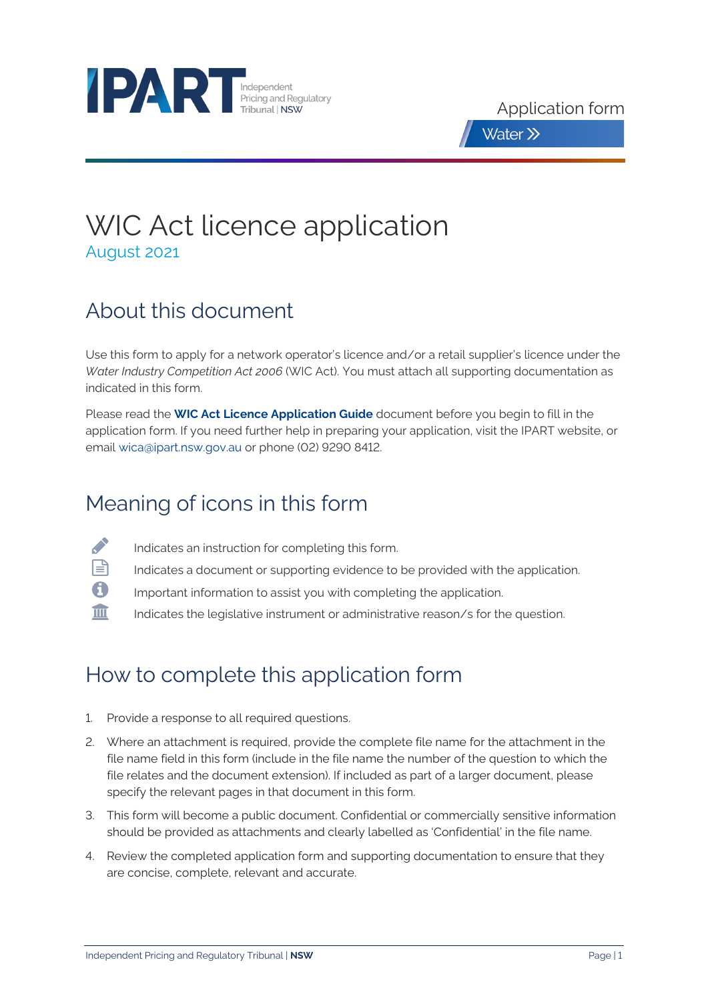



# WIC Act licence application August 2021

# About this document

Use this form to apply for a network operator's licence and/or a retail supplier's licence under the *Water Industry Competition Act 2006* (WIC Act). You must attach all supporting documentation as indicated in this form.

Please read the **[WIC Act Licence Application Guide](https://www.ipart.nsw.gov.au/Home/Industries/Water/Alternate-water-utilities-WICA/Forms-guidelines/WIC-Act-Licence-Application-Guidance-August%202021)** document before you begin to fill in the application form. If you need further help in preparing your application, visit the IPART website, or email [wica@ipart.nsw.gov.au](mailto:wica@ipart.nsw.gov.au?subject=WIC%20Act%20audit%20services%20panel%20application) or phone (02) 9290 8412.

# Meaning of icons in this form

- B Indicates an instruction for completing this form.
- 目 Indicates a document or supporting evidence to be provided with the application.
- A Important information to assist you with completing the application.
- 皿 Indicates the legislative instrument or administrative reason/s for the question.

# How to complete this application form

- 1. Provide a response to all required questions.
- 2. Where an attachment is required, provide the complete file name for the attachment in the file name field in this form (include in the file name the number of the question to which the file relates and the document extension). If included as part of a larger document, please specify the relevant pages in that document in this form.
- 3. This form will become a public document. Confidential or commercially sensitive information should be provided as attachments and clearly labelled as 'Confidential' in the file name.
- 4. Review the completed application form and supporting documentation to ensure that they are concise, complete, relevant and accurate.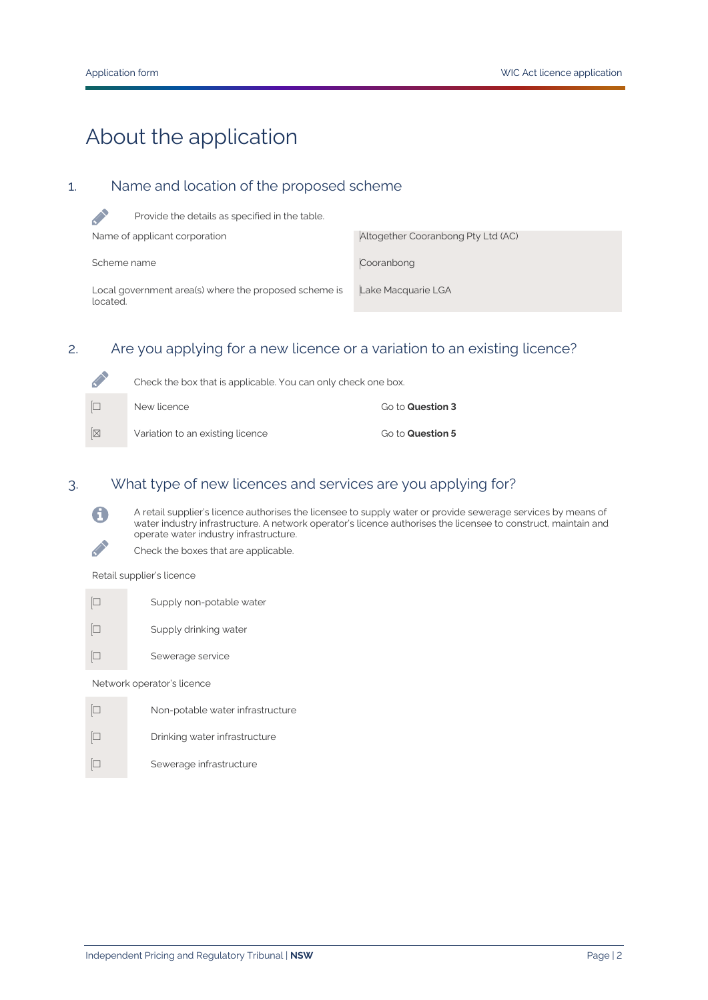# About the application

# 1. Name and location of the proposed scheme

| Provide the details as specified in the table.                    |                                    |
|-------------------------------------------------------------------|------------------------------------|
| Name of applicant corporation                                     | Altogether Cooranbong Pty Ltd (AC) |
| Scheme name                                                       | Cooranbong                         |
| Local government area(s) where the proposed scheme is<br>located. | Lake Macquarie LGA                 |

### 2. Are you applying for a new licence or a variation to an existing licence?

| L | Check the box that is applicable. You can only check one box. |                         |
|---|---------------------------------------------------------------|-------------------------|
|   | New licence                                                   | Go to <b>Question 3</b> |
| k | Variation to an existing licence                              | Go to Question 5        |

## 3. What type of new licences and services are you applying for?

A retail supplier's licence authorises the licensee to supply water or provide sewerage services by means of water industry infrastructure. A network operator's licence authorises the licensee to construct, maintain and operate water industry infrastructure.



Retail supplier's licence

A

**CANAD** 

- ☐ Supply non-potable water
- ☐ Supply drinking water
- ☐ Sewerage service

Network operator's licence

☐ Non-potable water infrastructure ☐ Drinking water infrastructure ☐ Sewerage infrastructure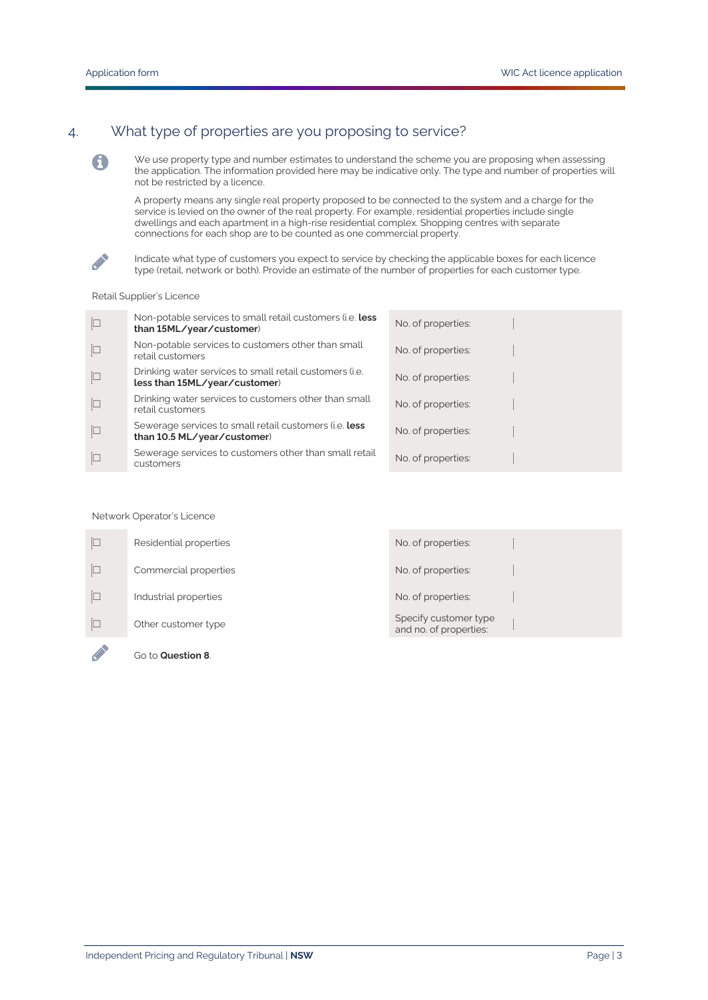# 4. What type of properties are you proposing to service?

We use property type and number estimates to understand the scheme you are proposing when assessing the application. The information provided here may be indicative only. The type and number of properties will not be restricted by a licence.

A property means any single real property proposed to be connected to the system and a charge for the service is levied on the owner of the real property. For example, residential properties include single dwellings and each apartment in a high-rise residential complex. Shopping centres with separate connections for each shop are to be counted as one commercial property.



6

Indicate what type of customers you expect to service by checking the applicable boxes for each licence type (retail, network or both). Provide an estimate of the number of properties for each customer type.

#### Retail Supplier's Licence

| $\Box$         | Non-potable services to small retail customers (i.e. less<br>than 15ML/year/customer)    | No. of properties: |
|----------------|------------------------------------------------------------------------------------------|--------------------|
| $\Box$         | Non-potable services to customers other than small<br>retail customers                   | No. of properties: |
| $\boxed{\Box}$ | Drinking water services to small retail customers (i.e.<br>less than 15ML/year/customer) | No. of properties: |
| $\Box$         | Drinking water services to customers other than small<br>retail customers                | No. of properties: |
| $\Box$         | Sewerage services to small retail customers (i.e. less<br>than 10.5 ML/year/customer)    | No. of properties: |
|                | Sewerage services to customers other than small retail<br>customers                      | No. of properties: |

#### Network Operator's Licence

| Go to Question 8.      |                                                 |  |
|------------------------|-------------------------------------------------|--|
| Other customer type    | Specify customer type<br>and no. of properties: |  |
| Industrial properties  | No. of properties:                              |  |
| Commercial properties  | No. of properties:                              |  |
| Residential properties | No. of properties:                              |  |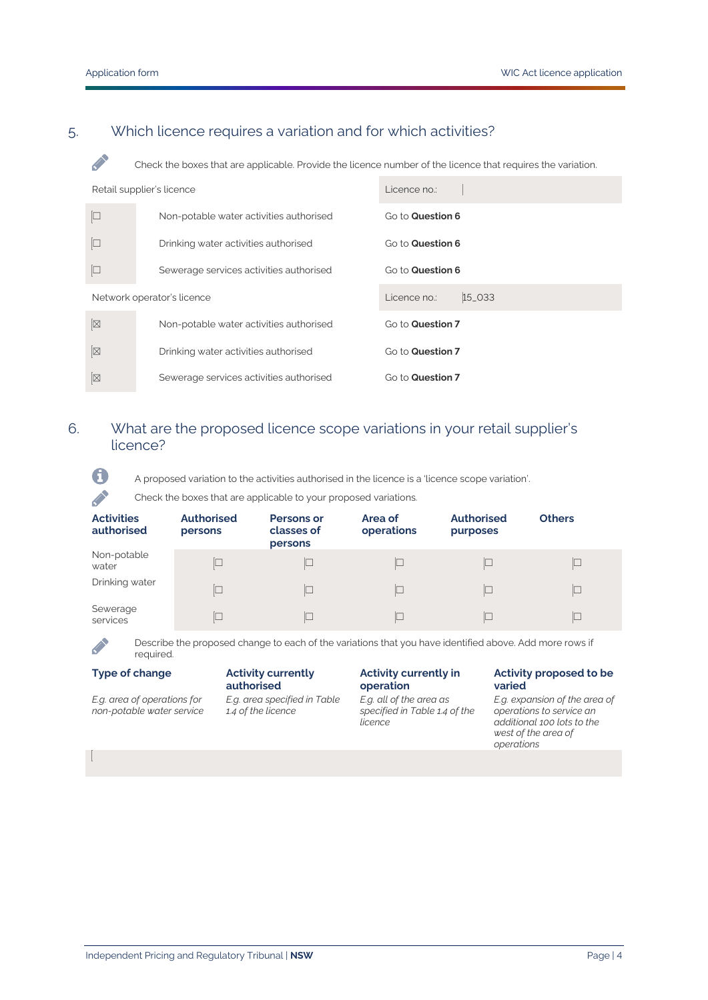**Contract Contract** 

A

 $\mathscr{L}$ 

## 5. Which licence requires a variation and for which activities?

Check the boxes that are applicable. Provide the licence number of the licence that requires the variation.

| Retail supplier's licence |                                         | Licence no.:           |
|---------------------------|-----------------------------------------|------------------------|
| $\Box$                    | Non-potable water activities authorised | Go to Question 6       |
|                           | Drinking water activities authorised    | Go to Question 6       |
| $\Box$                    | Sewerage services activities authorised | Go to Question 6       |
|                           | Network operator's licence              | 15_033<br>Licence no.: |
| $\boxtimes$               | Non-potable water activities authorised | Go to Question 7       |
| $\boxtimes$               | Drinking water activities authorised    | Go to Question 7       |
|                           |                                         |                        |

## <span id="page-3-0"></span>6. What are the proposed licence scope variations in your retail supplier's licence?

A proposed variation to the activities authorised in the licence is a 'licence scope variation'.

#### Check the boxes that are applicable to your proposed variations.

| <b>Contract Contract</b><br>Check the boxes that are applicable to your proposed variations. |                              |                                            |                       |                               |               |
|----------------------------------------------------------------------------------------------|------------------------------|--------------------------------------------|-----------------------|-------------------------------|---------------|
| <b>Activities</b><br>authorised                                                              | <b>Authorised</b><br>persons | <b>Persons or</b><br>classes of<br>persons | Area of<br>operations | <b>Authorised</b><br>purposes | <b>Others</b> |
| Non-potable<br>water                                                                         |                              |                                            | $\Box$                | L                             | $\Box$        |
| Drinking water                                                                               | $\Box$                       | $\Box$                                     | $\Box$                | $\Box$                        | $\Box$        |
| Sewerage<br>services                                                                         |                              |                                            | П                     | L                             | C             |

Describe the proposed change to each of the variations that you have identified above. Add more rows if required.

#### **Type of change Activity currently**

*E.g. area of operations for non-potable water service*

**authorised** *E.g. area specified in Table 1.4 of the licence*

#### **Activity currently in operation**

*E.g. all of the area as specified in Table 1.4 of the licence*

#### **Activity proposed to be varied**

*E.g. expansion of the area of operations to service an additional 100 lots to the west of the area of operations*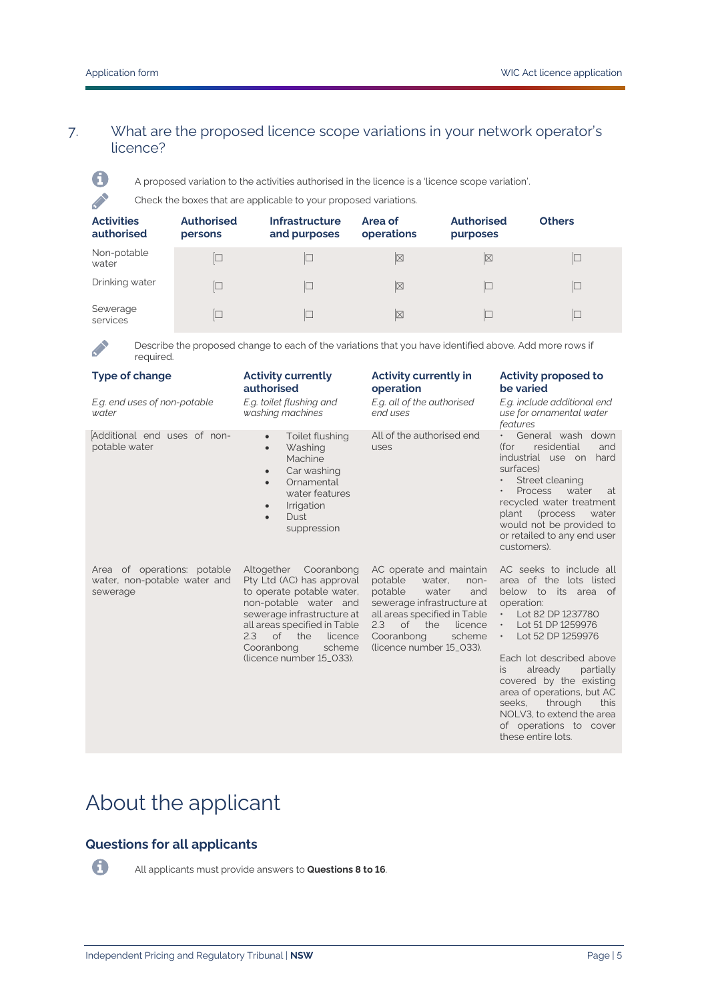## 7. What are the proposed licence scope variations in your network operator's licence?



**CONTRACTOR** 

A proposed variation to the activities authorised in the licence is a 'licence scope variation'.

Check the boxes that are applicable to your proposed variations.

| <b>Activities</b><br>authorised | <b>Authorised</b><br>persons | <b>Infrastructure</b><br>and purposes | Area of<br>operations | Authorised<br>purposes | <b>Others</b> |
|---------------------------------|------------------------------|---------------------------------------|-----------------------|------------------------|---------------|
| Non-potable<br>water            |                              |                                       | $\boxtimes$           | $\boxtimes$            |               |
| Drinking water                  |                              |                                       | $\boxtimes$           |                        | C             |
| Sewerage<br>services            |                              |                                       | $\boxtimes$           |                        | C             |

Describe the proposed change to each of the variations that you have identified above. Add more rows if required.

| <b>Type of change</b><br>E.g. end uses of non-potable<br>water          | <b>Activity currently</b><br>authorised<br>E.g. toilet flushing and<br>washing machines                                                                                                                                                                | <b>Activity currently in</b><br>operation<br>E.g. all of the authorised<br>end uses                                                                                                                                           | <b>Activity proposed to</b><br>be varied<br>E.g. include additional end<br>use for ornamental water<br>features                                                                                                                                                                                                                                                                                                   |
|-------------------------------------------------------------------------|--------------------------------------------------------------------------------------------------------------------------------------------------------------------------------------------------------------------------------------------------------|-------------------------------------------------------------------------------------------------------------------------------------------------------------------------------------------------------------------------------|-------------------------------------------------------------------------------------------------------------------------------------------------------------------------------------------------------------------------------------------------------------------------------------------------------------------------------------------------------------------------------------------------------------------|
| Additional end uses of non-<br>potable water                            | Toilet flushing<br>$\bullet$<br>Washing<br>$\bullet$<br>Machine<br>Car washing<br>$\bullet$<br>Ornamental<br>$\bullet$<br>water features<br>Irrigation<br>$\bullet$<br><b>Dust</b><br>$\bullet$<br>suppression                                         | All of the authorised end<br>uses                                                                                                                                                                                             | General wash down<br>residential<br>and<br>(for<br>industrial use on<br>hard<br>surfaces)<br>Street cleaning<br><b>Process</b><br>water<br>at<br>recycled water treatment<br>plant (process<br>water<br>would not be provided to<br>or retailed to any end user<br>customers).                                                                                                                                    |
| Area of operations: potable<br>water, non-potable water and<br>sewerage | Altogether Cooranbong<br>Pty Ltd (AC) has approval<br>to operate potable water,<br>non-potable water and<br>sewerage infrastructure at<br>all areas specified in Table<br>of the<br>2.3<br>licence<br>Cooranbong<br>scheme<br>(licence number 15_033). | AC operate and maintain<br>potable<br>water.<br>non-<br>potable<br>water<br>and<br>sewerage infrastructure at<br>all areas specified in Table<br>2.3<br>of the<br>licence<br>Cooranbong<br>scheme<br>(licence number 15_033). | AC seeks to include all<br>area of the lots listed<br>below to its area of<br>operation:<br>Lot 82 DP 1237780<br>$\bullet$ .<br>Lot 51 DP 1259976<br>$\bullet$<br>Lot 52 DP 1259976<br>Each lot described above<br>already<br>partially<br>is.<br>covered by the existing<br>area of operations, but AC<br>through<br>seeks,<br>this<br>NOLV3, to extend the area<br>of operations to cover<br>these entire lots. |

# About the applicant

## **Questions for all applicants**



All applicants must provide answers to **Questions 8 to 16**.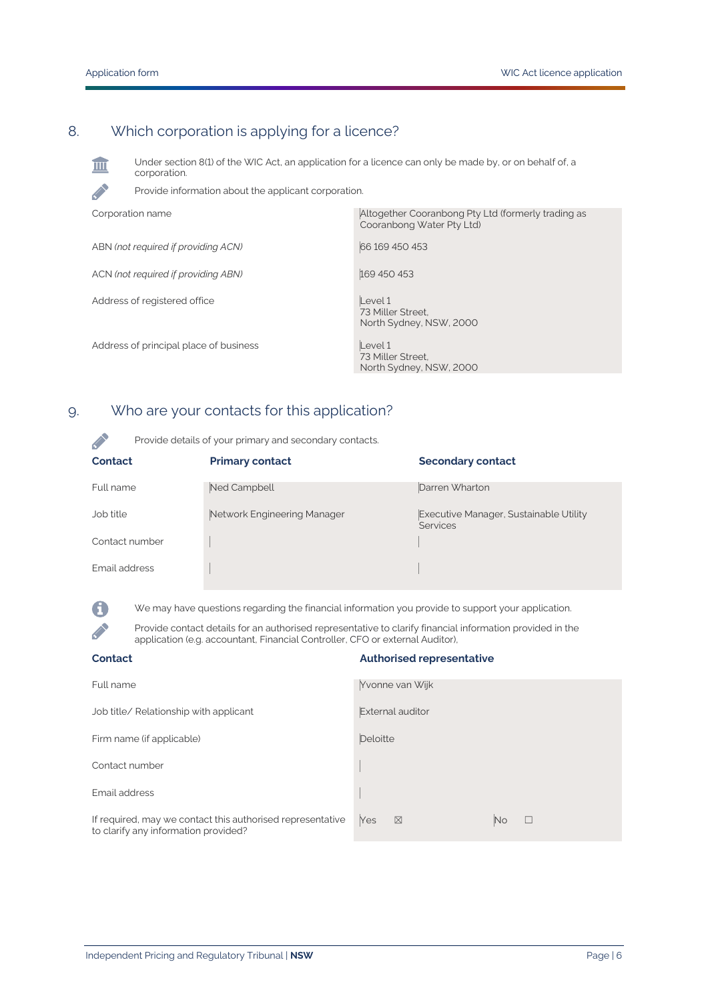**CONTRACTOR** 

A

 $\mathcal{L}$ 

# 8. Which corporation is applying for a licence?

Under section 8(1) of the WIC Act, an application for a licence can only be made by, or on behalf of, a 皿 corporation.

Provide information about the applicant corporation.

| Altogether Cooranbong Pty Ltd (formerly trading as<br>Cooranbong Water Pty Ltd) |
|---------------------------------------------------------------------------------|
| 66 169 450 453                                                                  |
| 169 450 453                                                                     |
| Level 1<br>73 Miller Street.<br>North Sydney, NSW, 2000                         |
| Level 1<br>73 Miller Street.<br>North Sydney, NSW, 2000                         |
|                                                                                 |

# 9. Who are your contacts for this application?

Provide details of your primary and secondary contacts.

| Contact        | <b>Primary contact</b>      | <b>Secondary contact</b>                                  |
|----------------|-----------------------------|-----------------------------------------------------------|
| Full name      | Ned Campbell                | Darren Wharton                                            |
| Job title      | Network Engineering Manager | Executive Manager, Sustainable Utility<br><b>Services</b> |
| Contact number |                             |                                                           |
| Email address  |                             |                                                           |

We may have questions regarding the financial information you provide to support your application.

Provide contact details for an authorised representative to clarify financial information provided in the application (e.g. accountant, Financial Controller, CFO or external Auditor),

| <b>Contact</b>                                                                                     | <b>Authorised representative</b>     |
|----------------------------------------------------------------------------------------------------|--------------------------------------|
| Full name                                                                                          | Yvonne van Wijk                      |
| Job title/ Relationship with applicant                                                             | External auditor                     |
| Firm name (if applicable)                                                                          | Deloitte                             |
| Contact number                                                                                     |                                      |
| Email address                                                                                      |                                      |
| If required, may we contact this authorised representative<br>to clarify any information provided? | Yes<br>N <sub>o</sub><br>⊠<br>$\Box$ |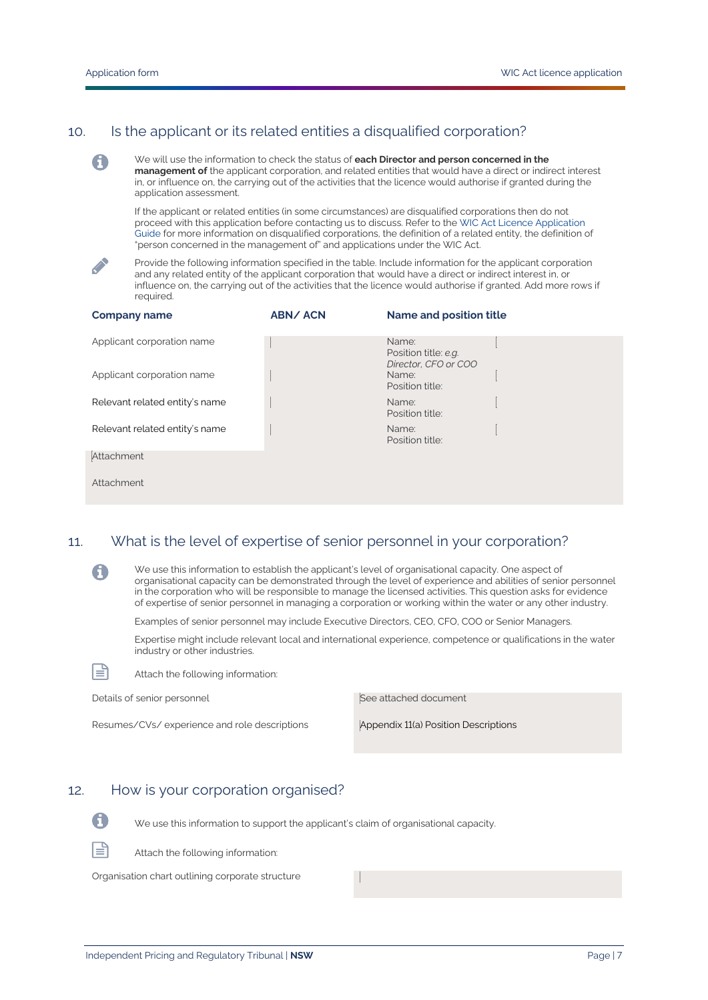## 10. Is the applicant or its related entities a disqualified corporation?

We will use the information to check the status of **each Director and person concerned in the management of** the applicant corporation, and related entities that would have a direct or indirect interest in, or influence on, the carrying out of the activities that the licence would authorise if granted during the application assessment.

If the applicant or related entities (in some circumstances) are disqualified corporations then do not proceed with this application before contacting us to discuss. Refer to th[e WIC Act Licence Application](https://www.ipart.nsw.gov.au/Home/Industries/Water/Alternate-water-utilities-WICA/Forms-guidelines/WIC-Act-Licence-Application-Guidance-August%202021)  [Guide](https://www.ipart.nsw.gov.au/Home/Industries/Water/Alternate-water-utilities-WICA/Forms-guidelines/WIC-Act-Licence-Application-Guidance-August%202021) for more information on disqualified corporations, the definition of a related entity, the definition of "person concerned in the management of" and applications under the WIC Act.



0

Provide the following information specified in the table. Include information for the applicant corporation and any related entity of the applicant corporation that would have a direct or indirect interest in, or influence on, the carrying out of the activities that the licence would authorise if granted. Add more rows if required.

| <b>Company name</b>            | <b>ABN/ACN</b> | Name and position title                               |
|--------------------------------|----------------|-------------------------------------------------------|
| Applicant corporation name     |                | Name:<br>Position title: e.g.<br>Director, CFO or COO |
| Applicant corporation name     |                | Name:<br>Position title:                              |
| Relevant related entity's name |                | Name:<br>Position title:                              |
| Relevant related entity's name |                | Name:<br>Position title:                              |
| Attachment                     |                |                                                       |
| Attachment                     |                |                                                       |

#### 11. What is the level of expertise of senior personnel in your corporation?

We use this information to establish the applicant's level of organisational capacity. One aspect of organisational capacity can be demonstrated through the level of experience and abilities of senior personnel in the corporation who will be responsible to manage the licensed activities. This question asks for evidence of expertise of senior personnel in managing a corporation or working within the water or any other industry.

Examples of senior personnel may include Executive Directors, CEO, CFO, COO or Senior Managers.

Expertise might include relevant local and international experience, competence or qualifications in the water industry or other industries.



A

| Details of senior personnel                  | See attached document                |
|----------------------------------------------|--------------------------------------|
| Resumes/CVs/experience and role descriptions | Appendix 11(a) Position Descriptions |

#### 12. How is your corporation organised?

Attach the following information:



We use this information to support the applicant's claim of organisational capacity.



Attach the following information:

Organisation chart outlining corporate structure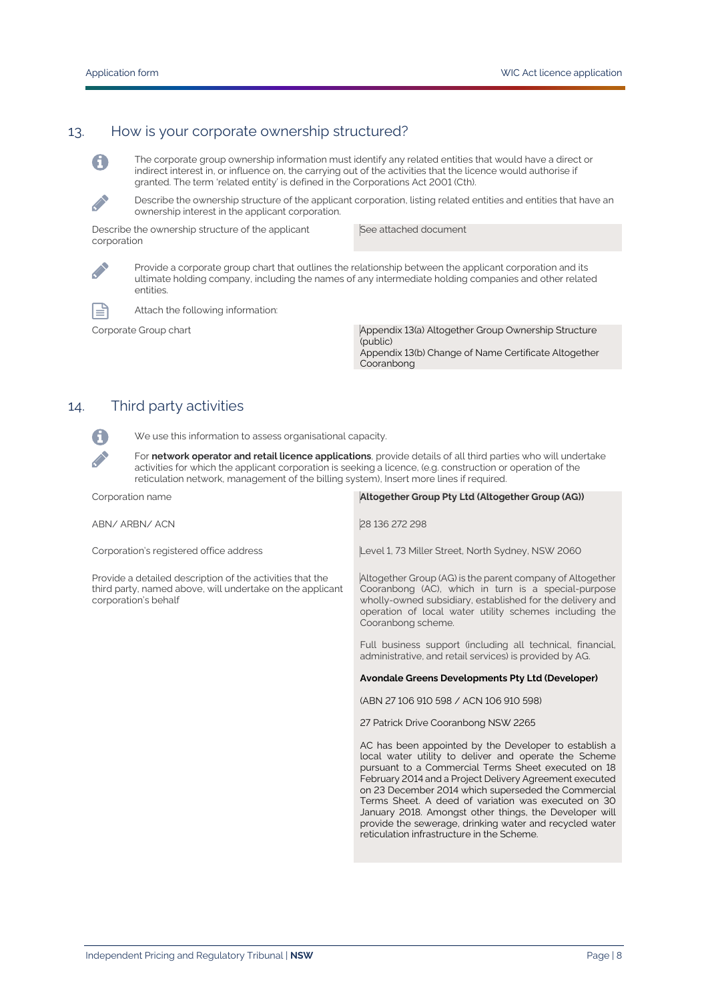#### 13. How is your corporate ownership structured?



 $\mathcal{L}$ 

The corporate group ownership information must identify any related entities that would have a direct or indirect interest in, or influence on, the carrying out of the activities that the licence would authorise if granted. The term 'related entity' is defined in the Corporations Act 2001 (Cth).

Describe the ownership structure of the applicant corporation, listing related entities and entities that have an ownership interest in the applicant corporation.

Describe the ownership structure of the applicant corporation

See attached document

Provide a corporate group chart that outlines the relationship between the applicant corporation and its ultimate holding company, including the names of any intermediate holding companies and other related entities.



A

**Contract Contract** 

Attach the following information:

Corporate Group chart Appendix 13(a) Altogether Group Ownership Structure (public) Appendix 13(b) Change of Name Certificate Altogether Cooranbong

## 14. Third party activities

We use this information to assess organisational capacity.

For **network operator and retail licence applications**, provide details of all third parties who will undertake activities for which the applicant corporation is seeking a licence, (e.g. construction or operation of the reticulation network, management of the billing system), Insert more lines if required.

| Corporation name                                                                                                                               | Altogether Group Pty Ltd (Altogether Group (AG))                                                                                                                                                                                                              |
|------------------------------------------------------------------------------------------------------------------------------------------------|---------------------------------------------------------------------------------------------------------------------------------------------------------------------------------------------------------------------------------------------------------------|
| ABN/ARBN/ACN                                                                                                                                   | 28 136 272 298                                                                                                                                                                                                                                                |
| Corporation's registered office address                                                                                                        | Level 1, 73 Miller Street, North Sydney, NSW 2060                                                                                                                                                                                                             |
| Provide a detailed description of the activities that the<br>third party, named above, will undertake on the applicant<br>corporation's behalf | Altogether Group (AG) is the parent company of Altogether<br>Cooranbong (AC), which in turn is a special-purpose<br>wholly-owned subsidiary, established for the delivery and<br>operation of local water utility schemes including the<br>Cooranbong scheme. |
|                                                                                                                                                | Full business support (including all technical, financial,<br>administrative, and retail services) is provided by AG.                                                                                                                                         |
|                                                                                                                                                |                                                                                                                                                                                                                                                               |
|                                                                                                                                                | Avondale Greens Developments Pty Ltd (Developer)                                                                                                                                                                                                              |
|                                                                                                                                                | (ABN 27 106 910 598 / ACN 106 910 598)                                                                                                                                                                                                                        |
|                                                                                                                                                | 27 Patrick Drive Cooranbong NSW 2265                                                                                                                                                                                                                          |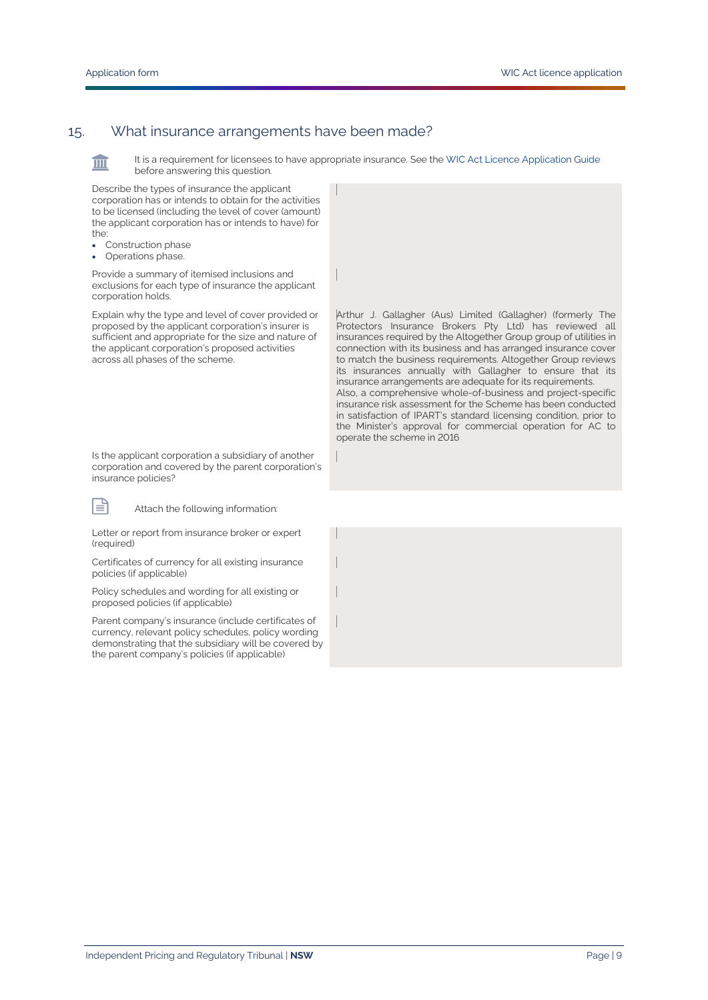皿

旨

### 15. What insurance arrangements have been made?

It is a requirement for licensees to have appropriate insurance. See th[e WIC Act Licence Application Guide](https://www.ipart.nsw.gov.au/Home/Industries/Water/Alternate-water-utilities-WICA/Forms-guidelines/WIC-Act-Licence-Application-Guidance-August%202021) before answering this question.

Describe the types of insurance the applicant corporation has or intends to obtain for the activities to be licensed (including the level of cover (amount) the applicant corporation has or intends to have) for the:

- Construction phase
- Operations phase.

Provide a summary of itemised inclusions and exclusions for each type of insurance the applicant corporation holds.

Explain why the type and level of cover provided or proposed by the applicant corporation's insurer is sufficient and appropriate for the size and nature of the applicant corporation's proposed activities across all phases of the scheme.

Is the applicant corporation a subsidiary of another corporation and covered by the parent corporation's insurance policies?

Attach the following information:

Letter or report from insurance broker or expert (required)

Certificates of currency for all existing insurance policies (if applicable)

Policy schedules and wording for all existing or proposed policies (if applicable)

Parent company's insurance (include certificates of currency, relevant policy schedules, policy wording demonstrating that the subsidiary will be covered by the parent company's policies (if applicable)

Arthur J. Gallagher (Aus) Limited (Gallagher) (formerly The Protectors Insurance Brokers Pty Ltd) has reviewed all insurances required by the Altogether Group group of utilities in connection with its business and has arranged insurance cover to match the business requirements. Altogether Group reviews its insurances annually with Gallagher to ensure that its insurance arrangements are adequate for its requirements. Also, a comprehensive whole-of-business and project-specific insurance risk assessment for the Scheme has been conducted in satisfaction of IPART's standard licensing condition, prior to the Minister's approval for commercial operation for AC to operate the scheme in 2016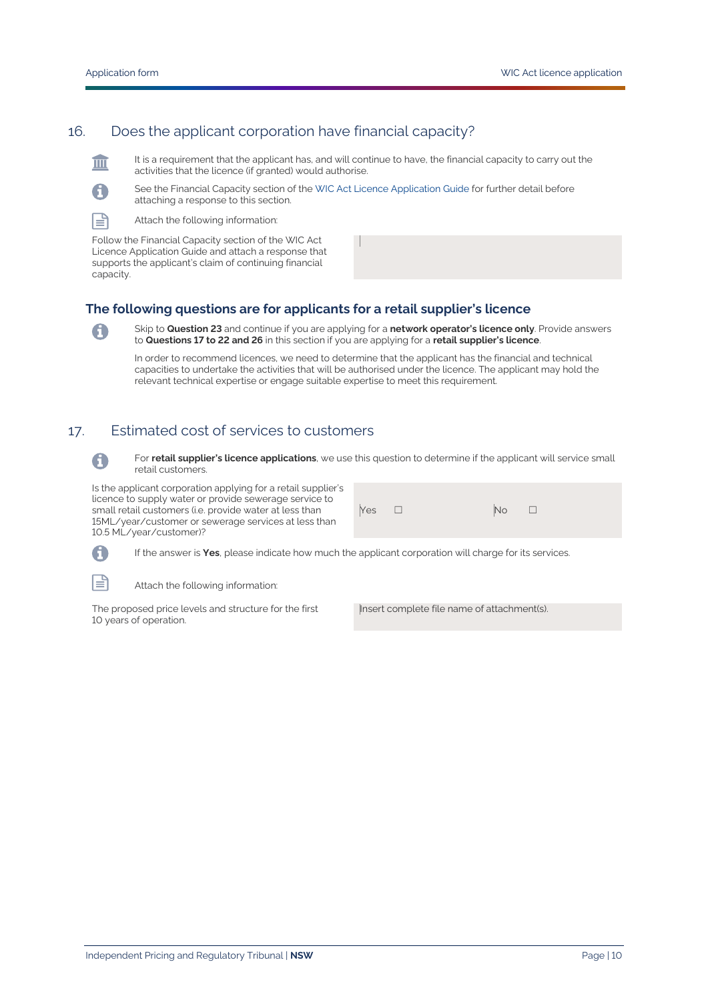## 16. Does the applicant corporation have financial capacity?

 $\mathbb{H}$ 

≡

A

It is a requirement that the applicant has, and will continue to have, the financial capacity to carry out the activities that the licence (if granted) would authorise.



Attach the following information:

Follow the Financial Capacity section of the WIC Act Licence Application Guide and attach a response that supports the applicant's claim of continuing financial capacity.

#### **The following questions are for applicants for a retail supplier's licence**

Skip to **Question 23** and continue if you are applying for a **network operator's licence only**. Provide answers to **Questions 17 to 22 and 26** in this section if you are applying for a **retail supplier's licence**.

In order to recommend licences, we need to determine that the applicant has the financial and technical capacities to undertake the activities that will be authorised under the licence. The applicant may hold the relevant technical expertise or engage suitable expertise to meet this requirement.

## 17. Estimated cost of services to customers



For **retail supplier's licence applications**, we use this question to determine if the applicant will service small retail customers.

Is the applicant corporation applying for a retail supplier's licence to supply water or provide sewerage service to small retail customers (i.e. provide water at less than 15ML/year/customer or sewerage services at less than 10.5 ML/year/customer)?

| $Yes \Box$ | $\boxed{\mathsf{No}}$ $\Box$ |  |
|------------|------------------------------|--|
|------------|------------------------------|--|

If the answer is **Yes**, please indicate how much the applicant corporation will charge for its services.

Attach the following information:

The proposed price levels and structure for the first 10 years of operation.

Insert complete file name of attachment(s).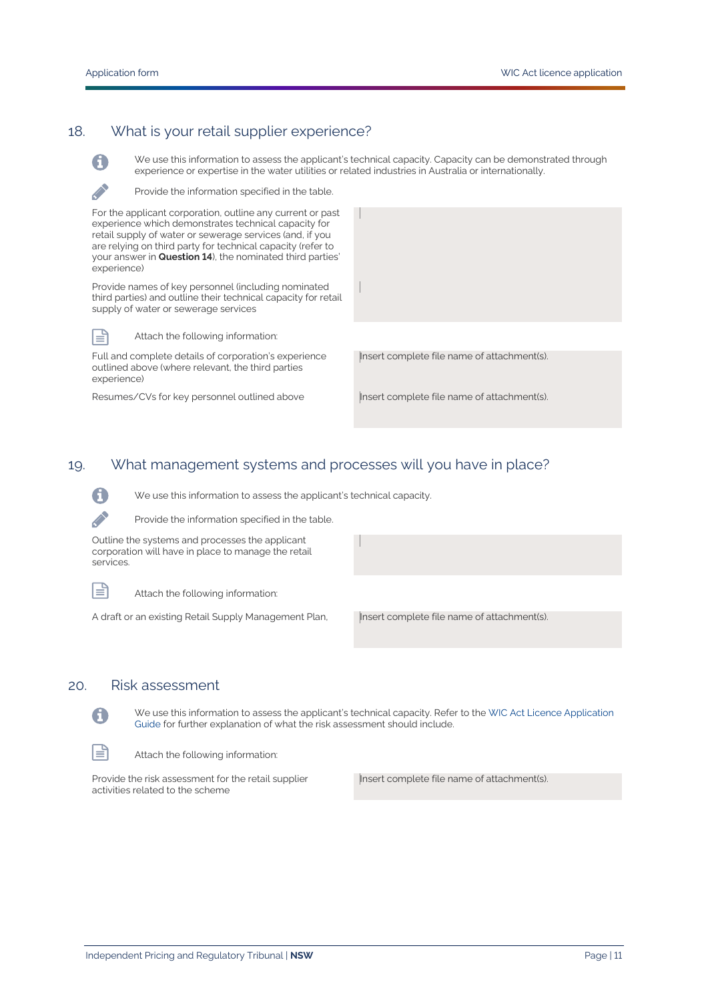# 18. What is your retail supplier experience?



ا≝ا

We use this information to assess the applicant's technical capacity. Capacity can be demonstrated through experience or expertise in the water utilities or related industries in Australia or internationally.

Provide the information specified in the table.

For the applicant corporation, outline any current or past experience which demonstrates technical capacity for retail supply of water or sewerage services (and, if you are relying on third party for technical capacity (refer to your answer in **Question 14**), the nominated third parties' experience)

Provide names of key personnel (including nominated third parties) and outline their technical capacity for retail supply of water or sewerage services

Attach the following information:

Full and complete details of corporation's experience outlined above (where relevant, the third parties experience)

Resumes/CVs for key personnel outlined above Insert complete file name of attachment(s).

Insert complete file name of attachment(s).

### 19. What management systems and processes will you have in place?

We use this information to assess the applicant's technical capacity.



Provide the information specified in the table.

Outline the systems and processes the applicant corporation will have in place to manage the retail services.

ظ⊫

Attach the following information:

A draft or an existing Retail Supply Management Plan, Insert complete file name of attachment(s).

#### 20. Risk assessment



We use this information to assess the applicant's technical capacity. Refer to th[e WIC Act Licence Application](https://www.ipart.nsw.gov.au/Home/Industries/Water/Alternate-water-utilities-WICA/Forms-guidelines/WIC-Act-Licence-Application-Guidance-August%202021)  [Guide](https://www.ipart.nsw.gov.au/Home/Industries/Water/Alternate-water-utilities-WICA/Forms-guidelines/WIC-Act-Licence-Application-Guidance-August%202021) for further explanation of what the risk assessment should include.

Attach the following information:

Provide the risk assessment for the retail supplier activities related to the scheme

Insert complete file name of attachment(s).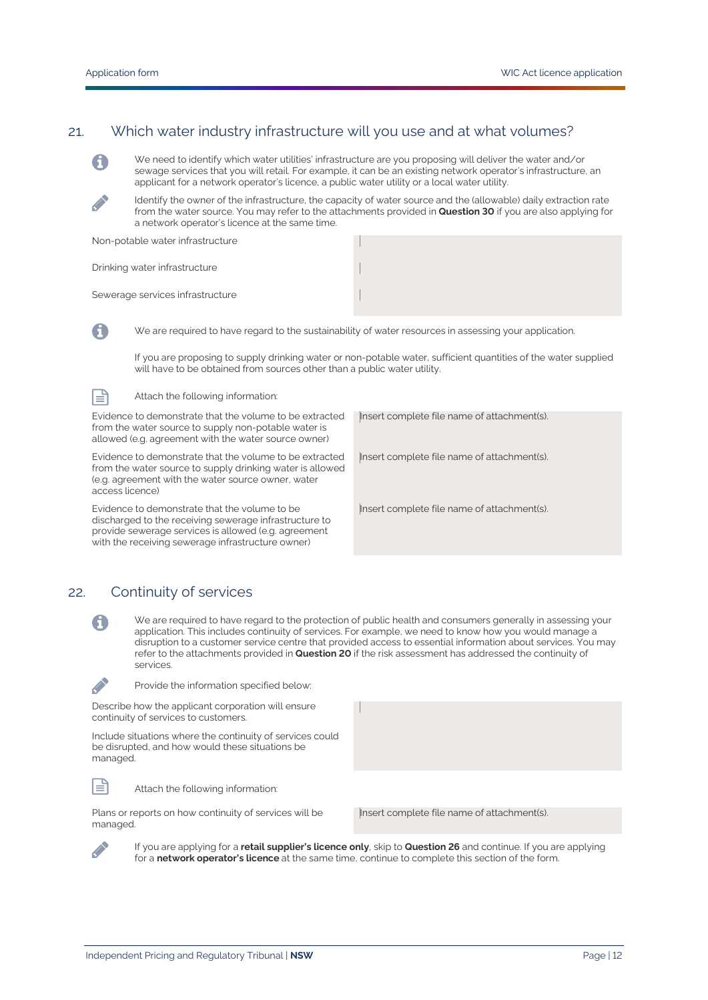### 21. Which water industry infrastructure will you use and at what volumes?



We need to identify which water utilities' infrastructure are you proposing will deliver the water and/or sewage services that you will retail. For example, it can be an existing network operator's infrastructure, an applicant for a network operator's licence, a public water utility or a local water utility.

Identify the owner of the infrastructure, the capacity of water source and the (allowable) daily extraction rate from the water source. You may refer to the attachments provided in **Question 30** if you are also applying for a network operator's licence at the same time.

| Non-potable water infrastructure |  |
|----------------------------------|--|
| Drinking water infrastructure    |  |
| Sewerage services infrastructure |  |

We are required to have regard to the sustainability of water resources in assessing your application.

If you are proposing to supply drinking water or non-potable water, sufficient quantities of the water supplied will have to be obtained from sources other than a public water utility.

冒

A

Attach the following information:

Evidence to demonstrate that the volume to be extracted from the water source to supply non-potable water is allowed (e.g. agreement with the water source owner)

Evidence to demonstrate that the volume to be extracted from the water source to supply drinking water is allowed (e.g. agreement with the water source owner, water access licence)

Evidence to demonstrate that the volume to be discharged to the receiving sewerage infrastructure to provide sewerage services is allowed (e.g. agreement with the receiving sewerage infrastructure owner)

Insert complete file name of attachment(s).

Insert complete file name of attachment(s).

Insert complete file name of attachment(s).

### 22. Continuity of services

We are required to have regard to the protection of public health and consumers generally in assessing your application. This includes continuity of services. For example, we need to know how you would manage a disruption to a customer service centre that provided access to essential information about services. You may refer to the attachments provided in **Question 20** if the risk assessment has addressed the continuity of services.



目

**Contract Contract** 

A

Provide the information specified below:

Describe how the applicant corporation will ensure continuity of services to customers.

Include situations where the continuity of services could be disrupted, and how would these situations be managed.

Attach the following information:

Plans or reports on how continuity of services will be managed.

Insert complete file name of attachment(s).

If you are applying for a **retail supplier's licence only**, skip to **Question 26** and continue. If you are applying for a **network operator's licence** at the same time, continue to complete this section of the form.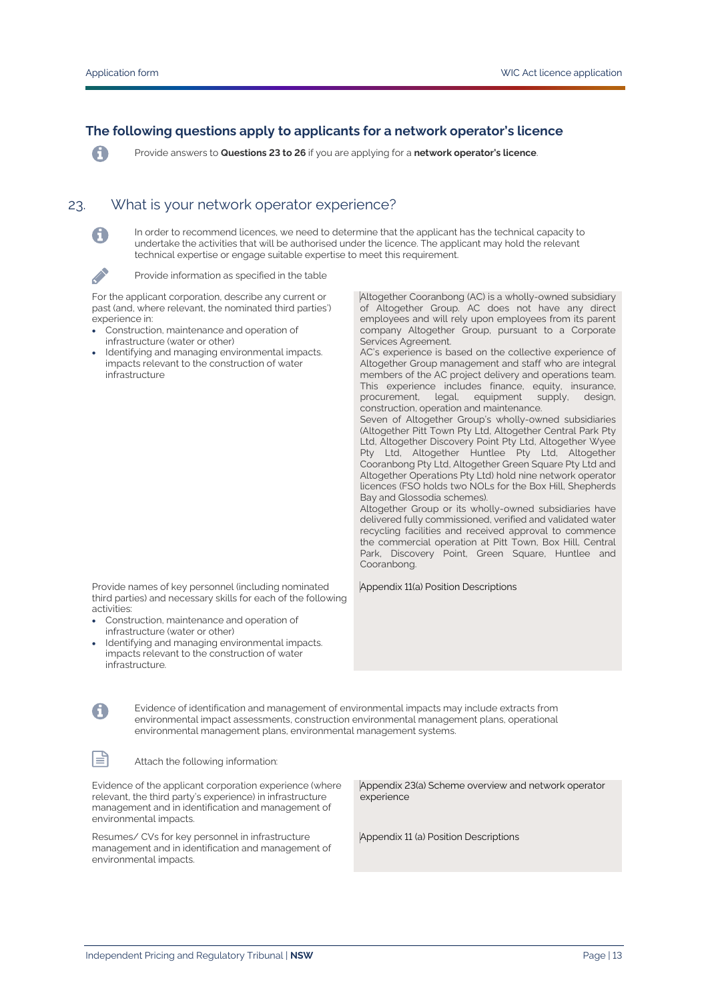A

D

A

目

#### **The following questions apply to applicants for a network operator's licence**

Provide answers to **Questions 23 to 26** if you are applying for a **network operator's licence**.

## 23. What is your network operator experience?

In order to recommend licences, we need to determine that the applicant has the technical capacity to undertake the activities that will be authorised under the licence. The applicant may hold the relevant technical expertise or engage suitable expertise to meet this requirement.

Provide information as specified in the table

For the applicant corporation, describe any current or past (and, where relevant, the nominated third parties') experience in:

- Construction, maintenance and operation of infrastructure (water or other)
- Identifying and managing environmental impacts. impacts relevant to the construction of water infrastructure

Altogether Cooranbong (AC) is a wholly-owned subsidiary of Altogether Group. AC does not have any direct employees and will rely upon employees from its parent company Altogether Group, pursuant to a Corporate Services Agreement.

AC's experience is based on the collective experience of Altogether Group management and staff who are integral members of the AC project delivery and operations team. This experience includes finance, equity, insurance, procurement, legal, equipment supply, design, construction, operation and maintenance.

Seven of Altogether Group's wholly-owned subsidiaries (Altogether Pitt Town Pty Ltd, Altogether Central Park Pty Ltd, Altogether Discovery Point Pty Ltd, Altogether Wyee Pty Ltd, Altogether Huntlee Pty Ltd, Altogether Cooranbong Pty Ltd, Altogether Green Square Pty Ltd and Altogether Operations Pty Ltd) hold nine network operator licences (FSO holds two NOLs for the Box Hill, Shepherds Bay and Glossodia schemes).

Altogether Group or its wholly-owned subsidiaries have delivered fully commissioned, verified and validated water recycling facilities and received approval to commence the commercial operation at Pitt Town, Box Hill, Central Park, Discovery Point, Green Square, Huntlee and Cooranbong.

Appendix 11(a) Position Descriptions

Provide names of key personnel (including nominated third parties) and necessary skills for each of the following activities:

- Construction, maintenance and operation of infrastructure (water or other)
- Identifying and managing environmental impacts. impacts relevant to the construction of water infrastructure.

Evidence of identification and management of environmental impacts may include extracts from environmental impact assessments, construction environmental management plans, operational environmental management plans, environmental management systems.

Attach the following information:

Evidence of the applicant corporation experience (where relevant, the third party's experience) in infrastructure management and in identification and management of environmental impacts.

Resumes/ CVs for key personnel in infrastructure management and in identification and management of environmental impacts.

Appendix 23(a) Scheme overview and network operator experience

Appendix 11 (a) Position Descriptions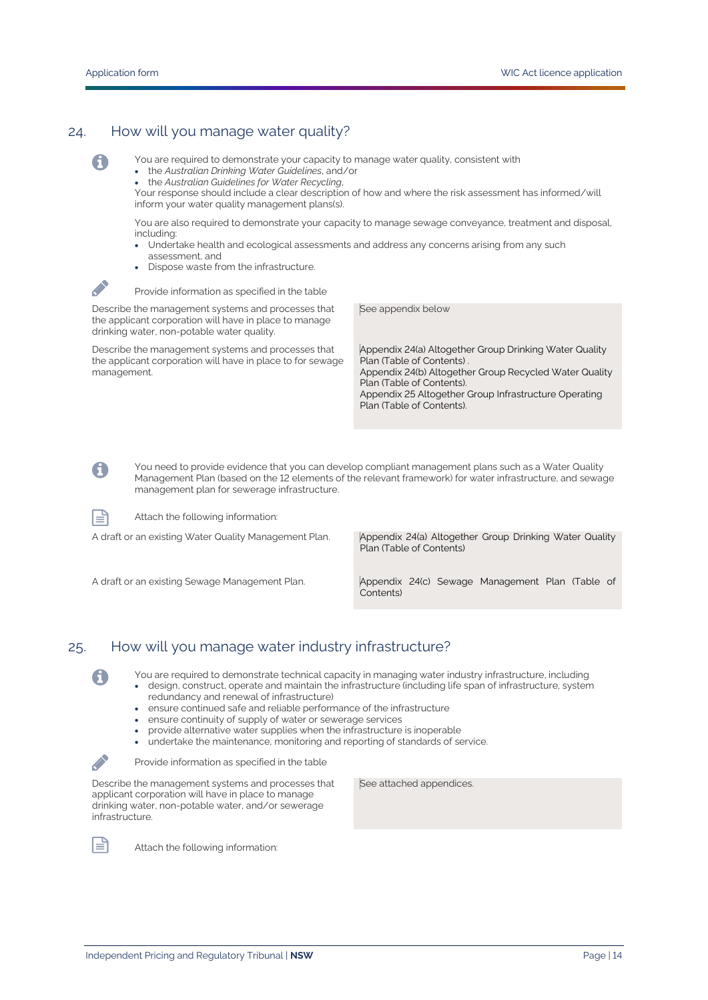0

 $\mathscr{L}$ 

A

### 24. How will you manage water quality?

You are required to demonstrate your capacity to manage water quality, consistent with

- the *Australian Drinking Water Guidelines*, and/or
- the *Australian Guidelines for Water Recycling*,

Your response should include a clear description of how and where the risk assessment has informed/will inform your water quality management plans(s).

You are also required to demonstrate your capacity to manage sewage conveyance, treatment and disposal, including:

- Undertake health and ecological assessments and address any concerns arising from any such assessment, and
- Dispose waste from the infrastructure.

Provide information as specified in the table

Describe the management systems and processes that the applicant corporation will have in place to manage drinking water, non-potable water quality.

Describe the management systems and processes that the applicant corporation will have in place to for sewage management.

See appendix below

Appendix 24(a) Altogether Group Drinking Water Quality Plan (Table of Contents) . Appendix 24(b) Altogether Group Recycled Water Quality Plan (Table of Contents). Appendix 25 Altogether Group Infrastructure Operating Plan (Table of Contents).

You need to provide evidence that you can develop compliant management plans such as a Water Quality Management Plan (based on the 12 elements of the relevant framework) for water infrastructure, and sewage management plan for sewerage infrastructure.

Attach the following information:

A draft or an existing Water Quality Management Plan. Appendix 24(a) Altogether Group Drinking Water Quality Plan (Table of Contents)

A draft or an existing Sewage Management Plan. Appendix 24(c) Sewage Management Plan (Table of Contents)

#### 25. How will you manage water industry infrastructure?

You are required to demonstrate technical capacity in managing water industry infrastructure, including

- design, construct, operate and maintain the infrastructure (including life span of infrastructure, system redundancy and renewal of infrastructure)
- ensure continued safe and reliable performance of the infrastructure
- ensure continuity of supply of water or sewerage services
- provide alternative water supplies when the infrastructure is inoperable
- undertake the maintenance, monitoring and reporting of standards of service.

Provide information as specified in the table

Describe the management systems and processes that applicant corporation will have in place to manage drinking water, non-potable water, and/or sewerage infrastructure.



A

**Contract Contract Contract** 

Attach the following information:

See attached appendices.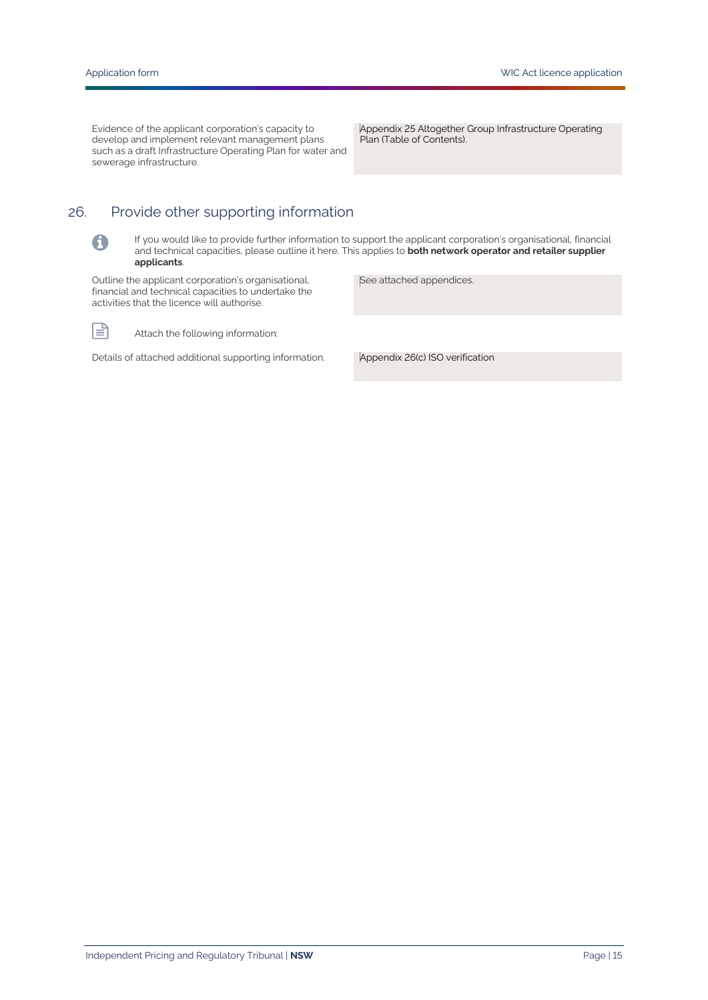0

I≡

Evidence of the applicant corporation's capacity to develop and implement relevant management plans such as a draft Infrastructure Operating Plan for water and sewerage infrastructure.

Appendix 25 Altogether Group Infrastructure Operating Plan (Table of Contents).

# 26. Provide other supporting information

If you would like to provide further information to support the applicant corporation's organisational, financial and technical capacities, please outline it here. This applies to **both network operator and retailer supplier applicants**.

Outline the applicant corporation's organisational, financial and technical capacities to undertake the activities that the licence will authorise.

See attached appendices.

Attach the following information:

Details of attached additional supporting information. Appendix 26(c) ISO verification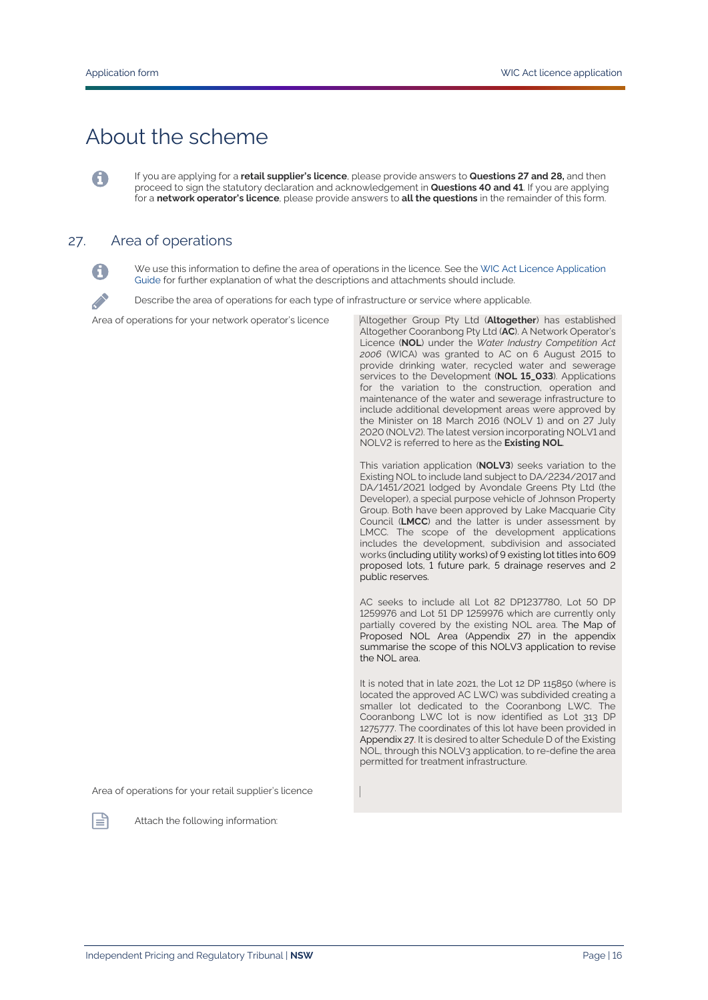# About the scheme

If you are applying for a **retail supplier's licence**, please provide answers to **Questions 27 and 28,** and then proceed to sign the statutory declaration and acknowledgement in **Questions 40 and 41**. If you are applying for a **network operator's licence**, please provide answers to **all the questions** in the remainder of this form.

#### 27. Area of operations



A

We use this information to define the area of operations in the licence. See th[e WIC Act Licence Application](https://www.ipart.nsw.gov.au/Home/Industries/Water/Alternate-water-utilities-WICA/Forms-guidelines/WIC-Act-Licence-Application-Guidance-August%202021)  [Guide](https://www.ipart.nsw.gov.au/Home/Industries/Water/Alternate-water-utilities-WICA/Forms-guidelines/WIC-Act-Licence-Application-Guidance-August%202021) for further explanation of what the descriptions and attachments should include.

Describe the area of operations for each type of infrastructure or service where applicable.

Area of operations for your network operator's licence Altogether Group Pty Ltd (**Altogether**) has established

Altogether Cooranbong Pty Ltd (**AC**). A Network Operator's Licence (**NOL**) under the *Water Industry Competition Act 2006* (WICA) was granted to AC on 6 August 2015 to provide drinking water, recycled water and sewerage services to the Development (**NOL 15\_033**). Applications for the variation to the construction, operation and maintenance of the water and sewerage infrastructure to include additional development areas were approved by the Minister on 18 March 2016 (NOLV 1) and on 27 July 2020 (NOLV2). The latest version incorporating NOLV1 and NOLV2 is referred to here as the **Existing NOL**.

This variation application (**NOLV3**) seeks variation to the Existing NOL to include land subject to DA/2234/2017 and DA/1451/2021 lodged by Avondale Greens Pty Ltd (the Developer), a special purpose vehicle of Johnson Property Group. Both have been approved by Lake Macquarie City Council (**LMCC**) and the latter is under assessment by LMCC. The scope of the development applications includes the development, subdivision and associated works (including utility works) of 9 existing lot titles into 609 proposed lots, 1 future park, 5 drainage reserves and 2 public reserves.

AC seeks to include all Lot 82 DP1237780, Lot 50 DP 1259976 and Lot 51 DP 1259976 which are currently only partially covered by the existing NOL area. The Map of Proposed NOL Area (Appendix 27) in the appendix summarise the scope of this NOLV3 application to revise the NOL area.

It is noted that in late 2021, the Lot 12 DP 115850 (where is located the approved AC LWC) was subdivided creating a smaller lot dedicated to the Cooranbong LWC. The Cooranbong LWC lot is now identified as Lot 313 DP 1275777. The coordinates of this lot have been provided in Appendix 27. It is desired to alter Schedule D of the Existing NOL, through this NOLV3 application, to re-define the area permitted for treatment infrastructure.

Area of operations for your retail supplier's licence



Attach the following information: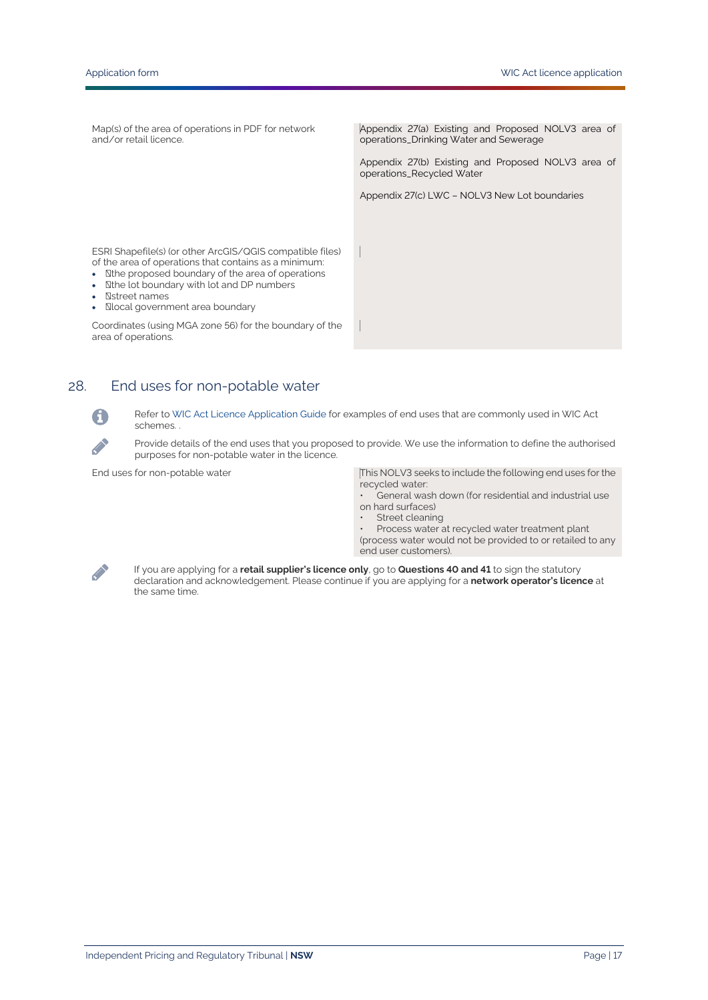Map(s) of the area of operations in PDF for network and/or retail licence.

Appendix 27(a) Existing and Proposed NOLV3 area of operations\_Drinking Water and Sewerage

Appendix 27(b) Existing and Proposed NOLV3 area of operations\_Recycled Water

Appendix 27(c) LWC – NOLV3 New Lot boundaries

ESRI Shapefile(s) (or other ArcGIS/QGIS compatible files) of the area of operations that contains as a minimum:

- Nthe proposed boundary of the area of operations
- Nthe lot boundary with lot and DP numbers
- **Natreet names**
- **Nocal government area boundary**

Coordinates (using MGA zone 56) for the boundary of the area of operations.

### 28. End uses for non-potable water

Refer to [WIC Act Licence Application Guide](https://www.ipart.nsw.gov.au/Home/Industries/Water/Alternate-water-utilities-WICA/Forms-guidelines/WIC-Act-Licence-Application-Guidance-August%202021) for examples of end uses that are commonly used in WIC Act schemes.

Provide details of the end uses that you proposed to provide. We use the information to define the authorised purposes for non-potable water in the licence.

End uses for non-potable water This NOLV3 seeks to include the following end uses for the recycled water:

- General wash down (for residential and industrial use on hard surfaces)
	- Street cleaning
- Process water at recycled water treatment plant (process water would not be provided to or retailed to any end user customers).



G

**Contract Contract** 

If you are applying for a **retail supplier's licence only**, go to **Questions 40 and 41** to sign the statutory declaration and acknowledgement. Please continue if you are applying for a **network operator's licence** at the same time.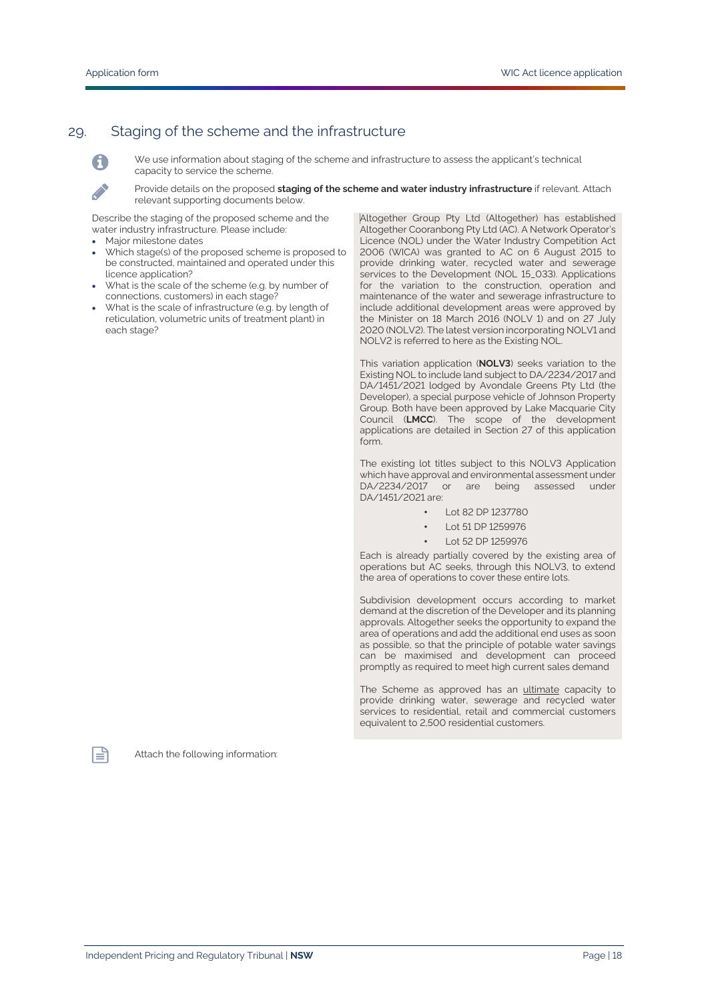#### 29. Staging of the scheme and the infrastructure



We use information about staging of the scheme and infrastructure to assess the applicant's technical capacity to service the scheme.

Provide details on the proposed **staging of the scheme and water industry infrastructure** if relevant. Attach relevant supporting documents below.

Describe the staging of the proposed scheme and the water industry infrastructure. Please include:

- Major milestone dates
- Which stage(s) of the proposed scheme is proposed to be constructed, maintained and operated under this licence application?
- What is the scale of the scheme (e.g. by number of connections, customers) in each stage?
- What is the scale of infrastructure (e.g. by length of reticulation, volumetric units of treatment plant) in each stage?

Altogether Group Pty Ltd (Altogether) has established Altogether Cooranbong Pty Ltd (AC). A Network Operator's Licence (NOL) under the Water Industry Competition Act 2006 (WICA) was granted to AC on 6 August 2015 to provide drinking water, recycled water and sewerage services to the Development (NOL 15\_033). Applications for the variation to the construction, operation and maintenance of the water and sewerage infrastructure to include additional development areas were approved by the Minister on 18 March 2016 (NOLV 1) and on 27 July 2020 (NOLV2). The latest version incorporating NOLV1 and NOLV2 is referred to here as the Existing NOL.

This variation application (**NOLV3**) seeks variation to the Existing NOL to include land subject to DA/2234/2017 and DA/1451/2021 lodged by Avondale Greens Pty Ltd (the Developer), a special purpose vehicle of Johnson Property Group. Both have been approved by Lake Macquarie City Council (**LMCC**). The scope of the development applications are detailed in Section 27 of this application form.

The existing lot titles subject to this NOLV3 Application which have approval and environmental assessment under DA/2234/2017 or are being assessed under DA/1451/2021 are:

- Lot 82 DP 1237780
- Lot 51 DP 1259976
- Lot 52 DP 1259976

Each is already partially covered by the existing area of operations but AC seeks, through this NOLV3, to extend the area of operations to cover these entire lots.

Subdivision development occurs according to market demand at the discretion of the Developer and its planning approvals. Altogether seeks the opportunity to expand the area of operations and add the additional end uses as soon as possible, so that the principle of potable water savings can be maximised and development can proceed promptly as required to meet high current sales demand

The Scheme as approved has an ultimate capacity to provide drinking water, sewerage and recycled water services to residential, retail and commercial customers equivalent to 2,500 residential customers.



自

Independent Pricing and Regulatory Tribunal | **NSW** Page | 18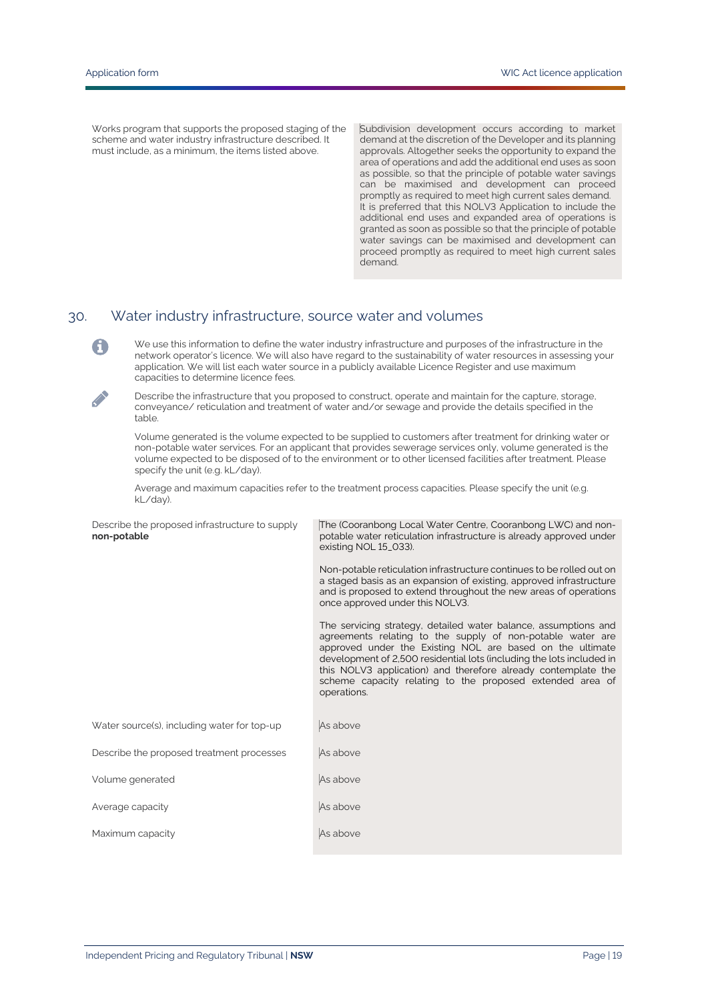A

**Contract on the contract of the contract of the contract of the contract of the contract of the contract of the contract of the contract of the contract of the contract of the contract of the contract of the contract of t** 

Works program that supports the proposed staging of the scheme and water industry infrastructure described. It must include, as a minimum, the items listed above.

Subdivision development occurs according to market demand at the discretion of the Developer and its planning approvals. Altogether seeks the opportunity to expand the area of operations and add the additional end uses as soon as possible, so that the principle of potable water savings can be maximised and development can proceed promptly as required to meet high current sales demand. It is preferred that this NOLV3 Application to include the additional end uses and expanded area of operations is granted as soon as possible so that the principle of potable water savings can be maximised and development can proceed promptly as required to meet high current sales demand.

#### 30. Water industry infrastructure, source water and volumes

We use this information to define the water industry infrastructure and purposes of the infrastructure in the network operator's licence. We will also have regard to the sustainability of water resources in assessing your application. We will list each water source in a publicly available Licence Register and use maximum capacities to determine licence fees.

Describe the infrastructure that you proposed to construct, operate and maintain for the capture, storage, conveyance/ reticulation and treatment of water and/or sewage and provide the details specified in the table.

Volume generated is the volume expected to be supplied to customers after treatment for drinking water or non-potable water services. For an applicant that provides sewerage services only, volume generated is the volume expected to be disposed of to the environment or to other licensed facilities after treatment. Please specify the unit (e.g. kL/day).

Average and maximum capacities refer to the treatment process capacities. Please specify the unit (e.g. kL/day).

| Describe the proposed infrastructure to supply<br>non-potable | The (Cooranbong Local Water Centre, Cooranbong LWC) and non-<br>potable water reticulation infrastructure is already approved under<br>existing NOL 15_033).                                                                                                                                                                                                                                                     |
|---------------------------------------------------------------|------------------------------------------------------------------------------------------------------------------------------------------------------------------------------------------------------------------------------------------------------------------------------------------------------------------------------------------------------------------------------------------------------------------|
|                                                               | Non-potable reticulation infrastructure continues to be rolled out on<br>a staged basis as an expansion of existing, approved infrastructure<br>and is proposed to extend throughout the new areas of operations<br>once approved under this NOLV3.                                                                                                                                                              |
|                                                               | The servicing strategy, detailed water balance, assumptions and<br>agreements relating to the supply of non-potable water are<br>approved under the Existing NOL are based on the ultimate<br>development of 2,500 residential lots (including the lots included in<br>this NOLV3 application) and therefore already contemplate the<br>scheme capacity relating to the proposed extended area of<br>operations. |
| Water source(s), including water for top-up                   | As above                                                                                                                                                                                                                                                                                                                                                                                                         |
| Describe the proposed treatment processes                     | As above                                                                                                                                                                                                                                                                                                                                                                                                         |
| Volume generated                                              | As above                                                                                                                                                                                                                                                                                                                                                                                                         |
| Average capacity                                              | As above                                                                                                                                                                                                                                                                                                                                                                                                         |
| Maximum capacity                                              | As above                                                                                                                                                                                                                                                                                                                                                                                                         |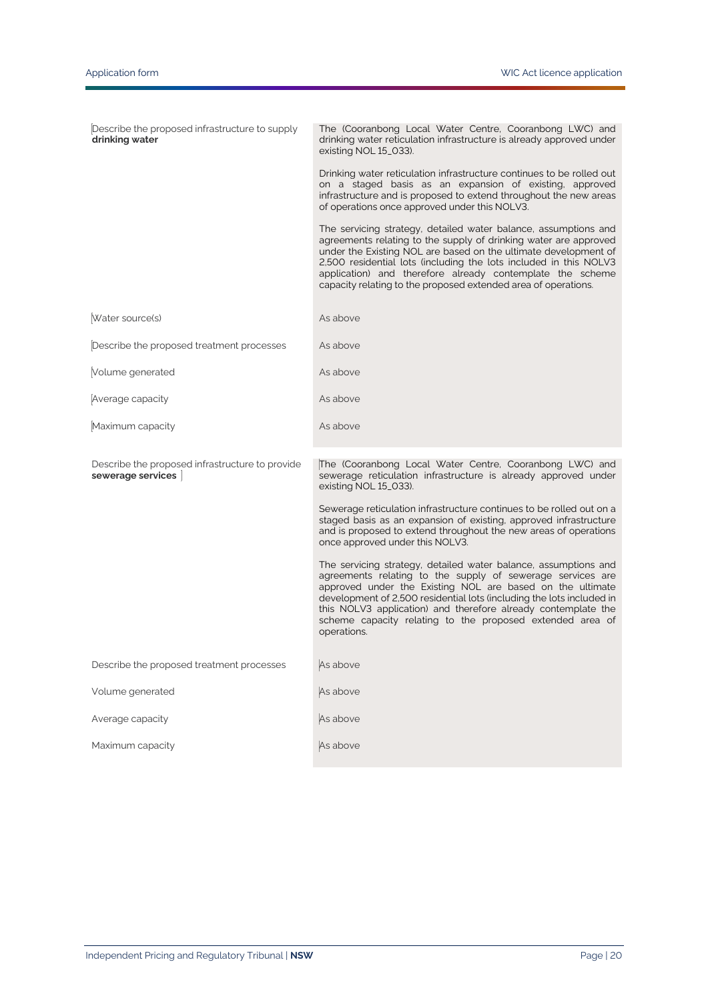| Describe the proposed infrastructure to supply<br>drinking water     | The (Cooranbong Local Water Centre, Cooranbong LWC) and<br>drinking water reticulation infrastructure is already approved under<br>existing NOL 15_033).<br>Drinking water reticulation infrastructure continues to be rolled out<br>on a staged basis as an expansion of existing, approved<br>infrastructure and is proposed to extend throughout the new areas<br>of operations once approved under this NOLV3.<br>The servicing strategy, detailed water balance, assumptions and<br>agreements relating to the supply of drinking water are approved<br>under the Existing NOL are based on the ultimate development of<br>2,500 residential lots (including the lots included in this NOLV3<br>application) and therefore already contemplate the scheme<br>capacity relating to the proposed extended area of operations. |
|----------------------------------------------------------------------|----------------------------------------------------------------------------------------------------------------------------------------------------------------------------------------------------------------------------------------------------------------------------------------------------------------------------------------------------------------------------------------------------------------------------------------------------------------------------------------------------------------------------------------------------------------------------------------------------------------------------------------------------------------------------------------------------------------------------------------------------------------------------------------------------------------------------------|
| Water source(s)                                                      | As above                                                                                                                                                                                                                                                                                                                                                                                                                                                                                                                                                                                                                                                                                                                                                                                                                         |
| Describe the proposed treatment processes                            | As above                                                                                                                                                                                                                                                                                                                                                                                                                                                                                                                                                                                                                                                                                                                                                                                                                         |
| Volume generated                                                     | As above                                                                                                                                                                                                                                                                                                                                                                                                                                                                                                                                                                                                                                                                                                                                                                                                                         |
| Average capacity                                                     | As above                                                                                                                                                                                                                                                                                                                                                                                                                                                                                                                                                                                                                                                                                                                                                                                                                         |
| Maximum capacity                                                     | As above                                                                                                                                                                                                                                                                                                                                                                                                                                                                                                                                                                                                                                                                                                                                                                                                                         |
| Describe the proposed infrastructure to provide<br>sewerage services | The (Cooranbong Local Water Centre, Cooranbong LWC) and<br>sewerage reticulation infrastructure is already approved under<br>existing NOL 15_033).<br>Sewerage reticulation infrastructure continues to be rolled out on a<br>staged basis as an expansion of existing, approved infrastructure<br>and is proposed to extend throughout the new areas of operations<br>once approved under this NOLV3.<br>The servicing strategy, detailed water balance, assumptions and<br>agreements relating to the supply of sewerage services are<br>approved under the Existing NOL are based on the ultimate<br>development of 2,500 residential lots (including the lots included in<br>this NOLV3 application) and therefore already contemplate the<br>scheme capacity relating to the proposed extended area of<br>operations.       |
| Describe the proposed treatment processes                            | As above                                                                                                                                                                                                                                                                                                                                                                                                                                                                                                                                                                                                                                                                                                                                                                                                                         |
| Volume generated                                                     | As above                                                                                                                                                                                                                                                                                                                                                                                                                                                                                                                                                                                                                                                                                                                                                                                                                         |
| Average capacity                                                     | As above                                                                                                                                                                                                                                                                                                                                                                                                                                                                                                                                                                                                                                                                                                                                                                                                                         |
| Maximum capacity                                                     | As above                                                                                                                                                                                                                                                                                                                                                                                                                                                                                                                                                                                                                                                                                                                                                                                                                         |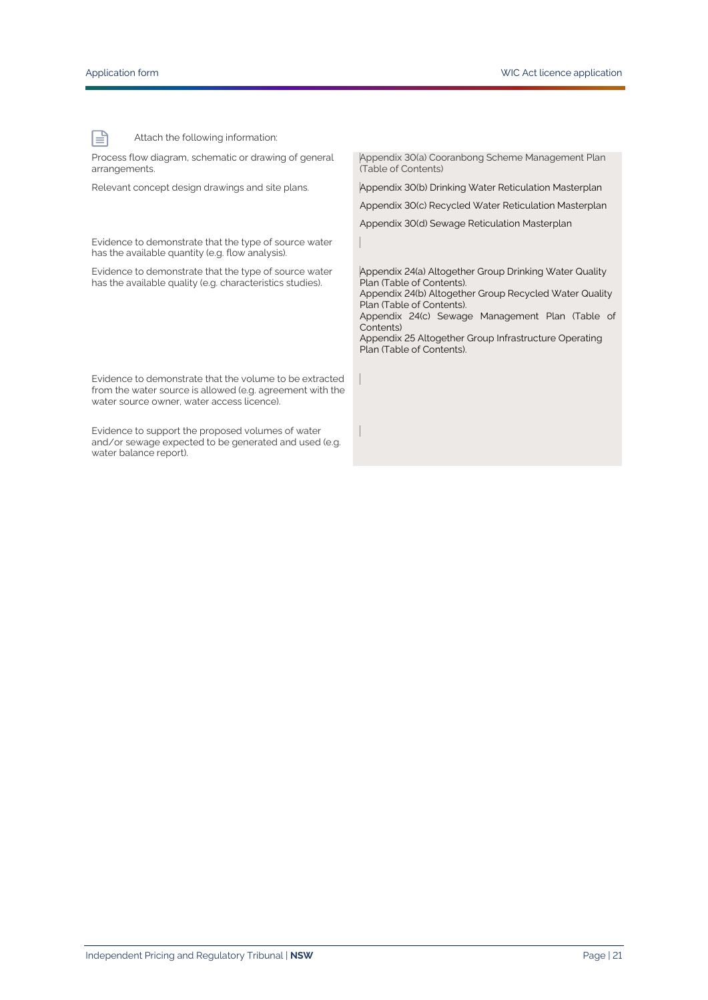冒

Attach the following information:

Process flow diagram, schematic or drawing of general arrangements. Appendix 30(a) Cooranbong Scheme Management Plan (Table of Contents) Relevant concept design drawings and site plans. <br>Appendix 30(b) Drinking Water Reticulation Masterplan Appendix 30(c) Recycled Water Reticulation Masterplan Appendix 30(d) Sewage Reticulation Masterplan Evidence to demonstrate that the type of source water has the available quantity (e.g. flow analysis). Evidence to demonstrate that the type of source water has the available quality (e.g. characteristics studies). Appendix 24(a) Altogether Group Drinking Water Quality Plan (Table of Contents). Appendix 24(b) Altogether Group Recycled Water Quality Plan (Table of Contents). Appendix 24(c) Sewage Management Plan (Table of Contents) Appendix 25 Altogether Group Infrastructure Operating Plan (Table of Contents). Evidence to demonstrate that the volume to be extracted from the water source is allowed (e.g. agreement with the water source owner, water access licence). Evidence to support the proposed volumes of water and/or sewage expected to be generated and used (e.g. water balance report).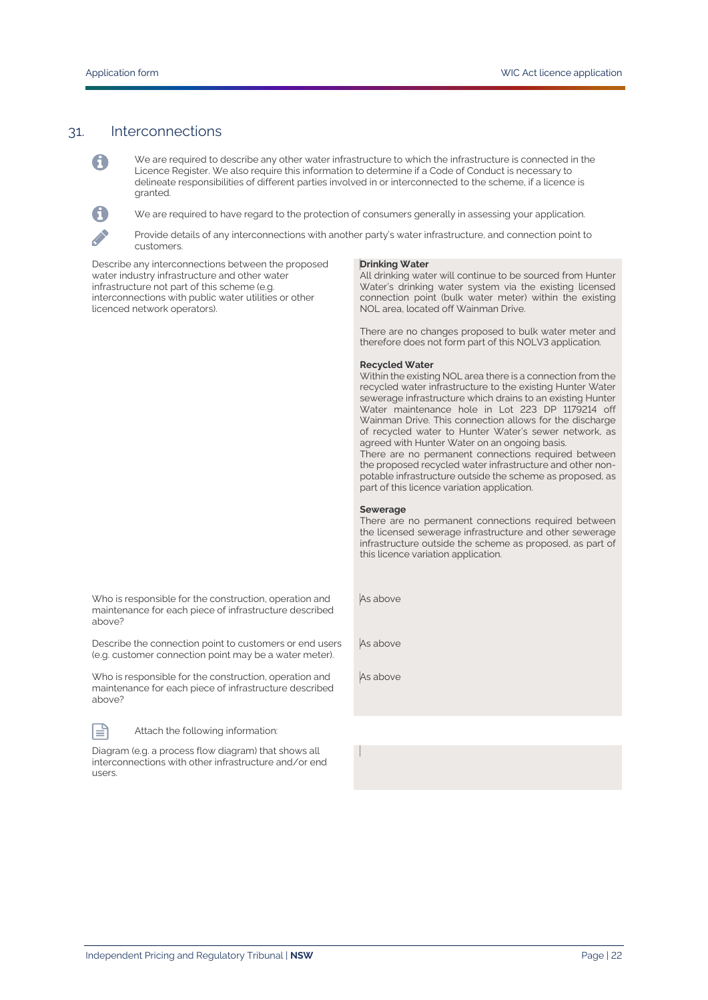#### 31. Interconnections

A

We are required to describe any other water infrastructure to which the infrastructure is connected in the Licence Register. We also require this information to determine if a Code of Conduct is necessary to delineate responsibilities of different parties involved in or interconnected to the scheme, if a licence is granted.

We are required to have regard to the protection of consumers generally in assessing your application.

A **Contract Contract** 

Provide details of any interconnections with another party's water infrastructure, and connection point to customers.

Describe any interconnections between the proposed water industry infrastructure and other water infrastructure not part of this scheme (e.g. interconnections with public water utilities or other licenced network operators).

#### **Drinking Water**

All drinking water will continue to be sourced from Hunter Water's drinking water system via the existing licensed connection point (bulk water meter) within the existing NOL area, located off Wainman Drive.

There are no changes proposed to bulk water meter and therefore does not form part of this NOLV3 application.

#### **Recycled Water**

Within the existing NOL area there is a connection from the recycled water infrastructure to the existing Hunter Water sewerage infrastructure which drains to an existing Hunter Water maintenance hole in Lot 223 DP 1179214 off Wainman Drive. This connection allows for the discharge of recycled water to Hunter Water's sewer network, as agreed with Hunter Water on an ongoing basis.

There are no permanent connections required between the proposed recycled water infrastructure and other nonpotable infrastructure outside the scheme as proposed, as part of this licence variation application.

#### **Sewerage**

There are no permanent connections required between the licensed sewerage infrastructure and other sewerage infrastructure outside the scheme as proposed, as part of this licence variation application.

As above

As above

As above

Who is responsible for the construction, operation and maintenance for each piece of infrastructure described above?

(e.g. customer connection point may be a water meter). Who is responsible for the construction, operation and

Describe the connection point to customers or end users

maintenance for each piece of infrastructure described above?



Attach the following information:

Diagram (e.g. a process flow diagram) that shows all interconnections with other infrastructure and/or end users.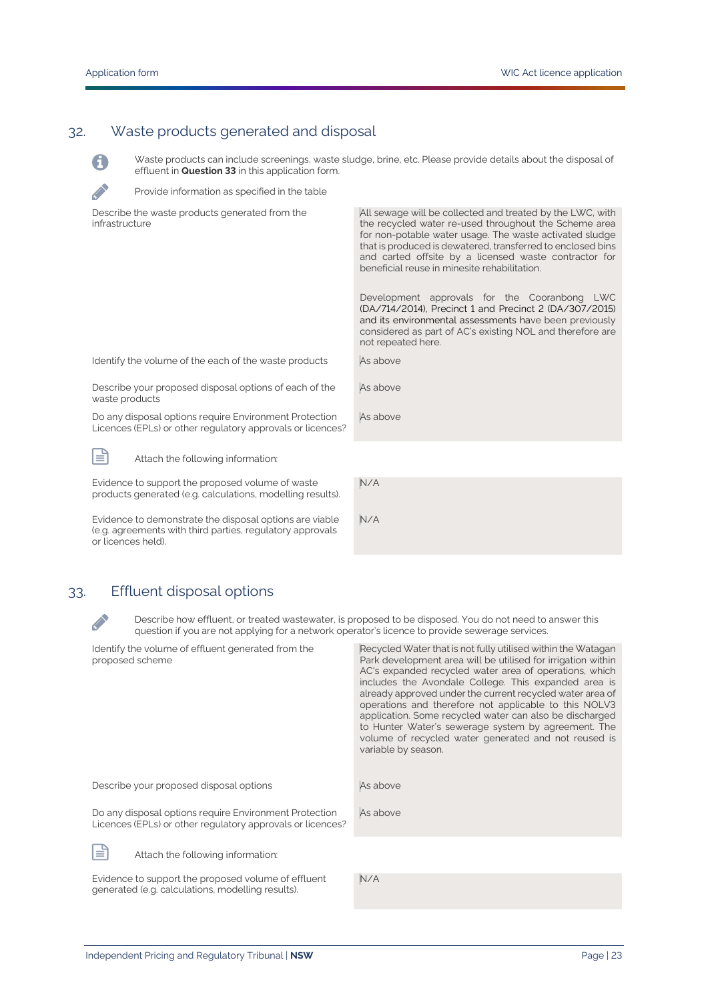6

**CONTRACTOR** 

# 32. Waste products generated and disposal

Waste products can include screenings, waste sludge, brine, etc. Please provide details about the disposal of effluent in **Question 33** in this application form.

Provide information as specified in the table

| Describe the waste products generated from the<br>infrastructure                                                                           | All sewage will be collected and treated by the LWC, with<br>the recycled water re-used throughout the Scheme area<br>for non-potable water usage. The waste activated sludge<br>that is produced is dewatered, transferred to enclosed bins<br>and carted offsite by a licensed waste contractor for<br>beneficial reuse in minesite rehabilitation. |  |
|--------------------------------------------------------------------------------------------------------------------------------------------|-------------------------------------------------------------------------------------------------------------------------------------------------------------------------------------------------------------------------------------------------------------------------------------------------------------------------------------------------------|--|
|                                                                                                                                            | Development approvals for the Cooranbong LWC<br>(DA/714/2014), Precinct 1 and Precinct 2 (DA/307/2015)<br>and its environmental assessments have been previously<br>considered as part of AC's existing NOL and therefore are<br>not repeated here.                                                                                                   |  |
| Identify the volume of the each of the waste products                                                                                      | As above                                                                                                                                                                                                                                                                                                                                              |  |
| Describe your proposed disposal options of each of the<br>waste products                                                                   | As above                                                                                                                                                                                                                                                                                                                                              |  |
| Do any disposal options require Environment Protection<br>Licences (EPLs) or other regulatory approvals or licences?                       | As above                                                                                                                                                                                                                                                                                                                                              |  |
| 旨<br>Attach the following information:                                                                                                     |                                                                                                                                                                                                                                                                                                                                                       |  |
| Evidence to support the proposed volume of waste<br>products generated (e.g. calculations, modelling results).                             | N/A                                                                                                                                                                                                                                                                                                                                                   |  |
| Evidence to demonstrate the disposal options are viable<br>(e.g. agreements with third parties, regulatory approvals<br>or licences held). | N/A                                                                                                                                                                                                                                                                                                                                                   |  |

## 33. Effluent disposal options

**Contract Contract** 

Describe how effluent, or treated wastewater, is proposed to be disposed. You do not need to answer this question if you are not applying for a network operator's licence to provide sewerage services.

| Identify the volume of effluent generated from the<br>proposed scheme                                                | Recycled Water that is not fully utilised within the Watagan<br>Park development area will be utilised for irrigation within<br>AC's expanded recycled water area of operations, which<br>includes the Avondale College. This expanded area is<br>already approved under the current recycled water area of |
|----------------------------------------------------------------------------------------------------------------------|-------------------------------------------------------------------------------------------------------------------------------------------------------------------------------------------------------------------------------------------------------------------------------------------------------------|
|                                                                                                                      | operations and therefore not applicable to this NOLV3<br>application. Some recycled water can also be discharged<br>to Hunter Water's sewerage system by agreement. The<br>volume of recycled water generated and not reused is<br>variable by season.                                                      |
| Describe your proposed disposal options                                                                              | As above                                                                                                                                                                                                                                                                                                    |
| Do any disposal options require Environment Protection<br>Licences (EPLs) or other regulatory approvals or licences? | As above                                                                                                                                                                                                                                                                                                    |
| ≡<br>Attach the following information:                                                                               |                                                                                                                                                                                                                                                                                                             |
| Evidence to support the proposed volume of effluent<br>generated (e.g. calculations, modelling results).             | N/A                                                                                                                                                                                                                                                                                                         |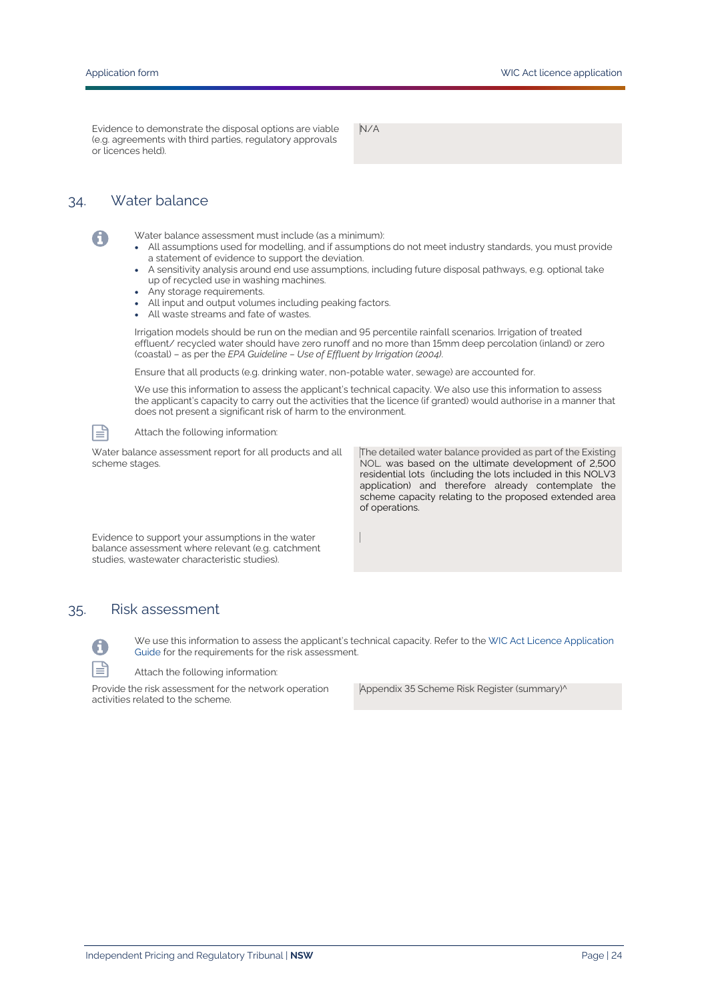Evidence to demonstrate the disposal options are viable (e.g. agreements with third parties, regulatory approvals or licences held).

N/A

### 34. Water balance

Water balance assessment must include (as a minimum):

- All assumptions used for modelling, and if assumptions do not meet industry standards, you must provide a statement of evidence to support the deviation.
- A sensitivity analysis around end use assumptions, including future disposal pathways, e.g. optional take up of recycled use in washing machines.
- Any storage requirements.
- All input and output volumes including peaking factors.
- All waste streams and fate of wastes.

Irrigation models should be run on the median and 95 percentile rainfall scenarios. Irrigation of treated effluent/ recycled water should have zero runoff and no more than 15mm deep percolation (inland) or zero (coastal) – as per the *EPA Guideline – Use of Effluent by Irrigation (2004)*.

Ensure that all products (e.g. drinking water, non-potable water, sewage) are accounted for.

We use this information to assess the applicant's technical capacity. We also use this information to assess the applicant's capacity to carry out the activities that the licence (if granted) would authorise in a manner that does not present a significant risk of harm to the environment.



A

#### Attach the following information:

Water balance assessment report for all products and all scheme stages.

The detailed water balance provided as part of the Existing NOL. was based on the ultimate development of 2,500 residential lots (including the lots included in this NOLV3 application) and therefore already contemplate the scheme capacity relating to the proposed extended area of operations.

Evidence to support your assumptions in the water balance assessment where relevant (e.g. catchment studies, wastewater characteristic studies).

#### 35. Risk assessment



We use this information to assess the applicant's technical capacity. Refer to the WIC Act [Licence Application](https://www.ipart.nsw.gov.au/Home/Industries/Water/Alternate-water-utilities-WICA/Forms-guidelines/WIC-Act-Licence-Application-Guidance-August%202021)  [Guide](https://www.ipart.nsw.gov.au/Home/Industries/Water/Alternate-water-utilities-WICA/Forms-guidelines/WIC-Act-Licence-Application-Guidance-August%202021) for the requirements for the risk assessment.

Attach the following information:

Provide the risk assessment for the network operation activities related to the scheme.

Appendix 35 Scheme Risk Register (summary)^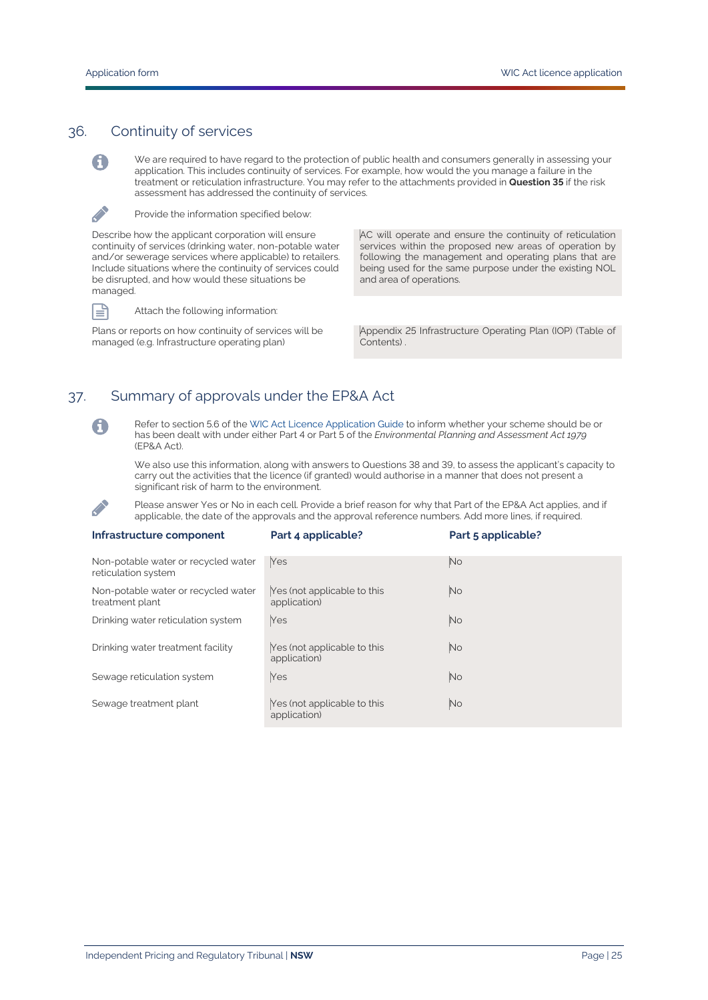### 36. Continuity of services

We are required to have regard to the protection of public health and consumers generally in assessing your application. This includes continuity of services. For example, how would the you manage a failure in the treatment or reticulation infrastructure. You may refer to the attachments provided in **Question 35** if the risk assessment has addressed the continuity of services.



A

Provide the information specified below:

Describe how the applicant corporation will ensure continuity of services (drinking water, non-potable water and/or sewerage services where applicable) to retailers. Include situations where the continuity of services could be disrupted, and how would these situations be managed.



Attach the following information:

Plans or reports on how continuity of services will be managed (e.g. Infrastructure operating plan)

AC will operate and ensure the continuity of reticulation services within the proposed new areas of operation by following the management and operating plans that are being used for the same purpose under the existing NOL and area of operations.

Appendix 25 Infrastructure Operating Plan (IOP) (Table of Contents) .

# 37. Summary of approvals under the EP&A Act



**CANAD** 

Refer to section 5.6 of th[e WIC Act Licence Application Guide](https://www.ipart.nsw.gov.au/Home/Industries/Water/Alternate-water-utilities-WICA/Forms-guidelines/WIC-Act-Licence-Application-Guidance-August%202021) to inform whether your scheme should be or has been dealt with under either Part 4 or Part 5 of the *Environmental Planning and Assessment Act 1979* (EP&A Act).

We also use this information, along with answers to Questions 38 and 39, to assess the applicant's capacity to carry out the activities that the licence (if granted) would authorise in a manner that does not present a significant risk of harm to the environment.

Please answer Yes or No in each cell. Provide a brief reason for why that Part of the EP&A Act applies, and if applicable, the date of the approvals and the approval reference numbers. Add more lines, if required.

| Infrastructure component                                   | Part 4 applicable?                          | Part 5 applicable? |
|------------------------------------------------------------|---------------------------------------------|--------------------|
| Non-potable water or recycled water<br>reticulation system | Yes                                         | <b>No</b>          |
| Non-potable water or recycled water<br>treatment plant     | Yes (not applicable to this<br>application) | <b>No</b>          |
| Drinking water reticulation system                         | Yes                                         | <b>No</b>          |
| Drinking water treatment facility                          | Yes (not applicable to this<br>application) | <b>No</b>          |
| Sewage reticulation system                                 | Yes                                         | <b>No</b>          |
| Sewage treatment plant                                     | Yes (not applicable to this<br>application) | <b>No</b>          |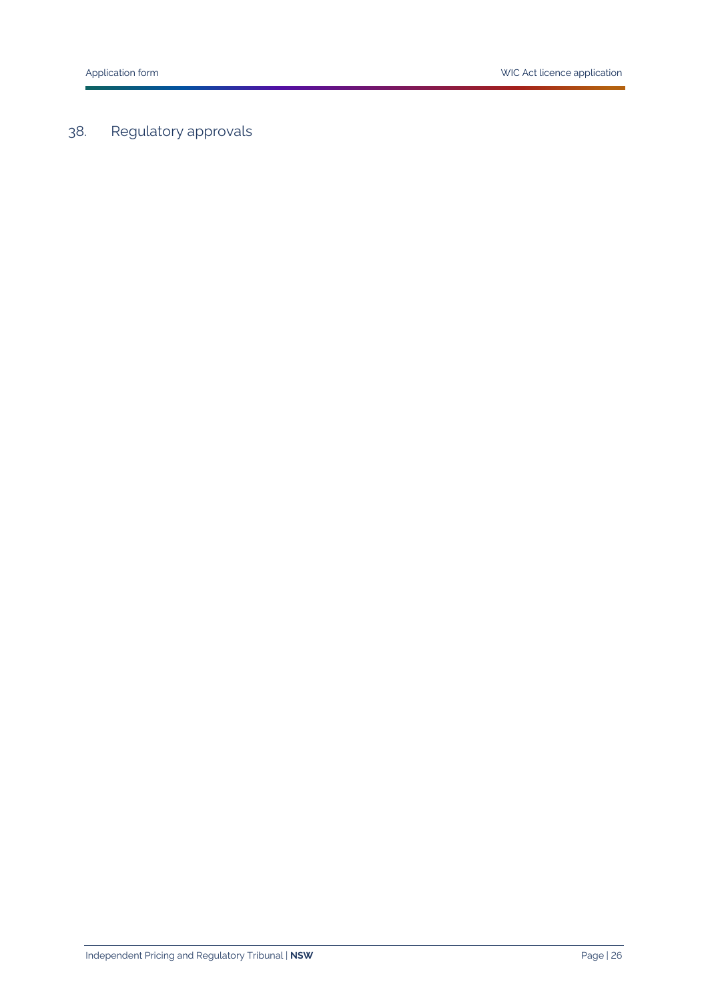# 38. Regulatory approvals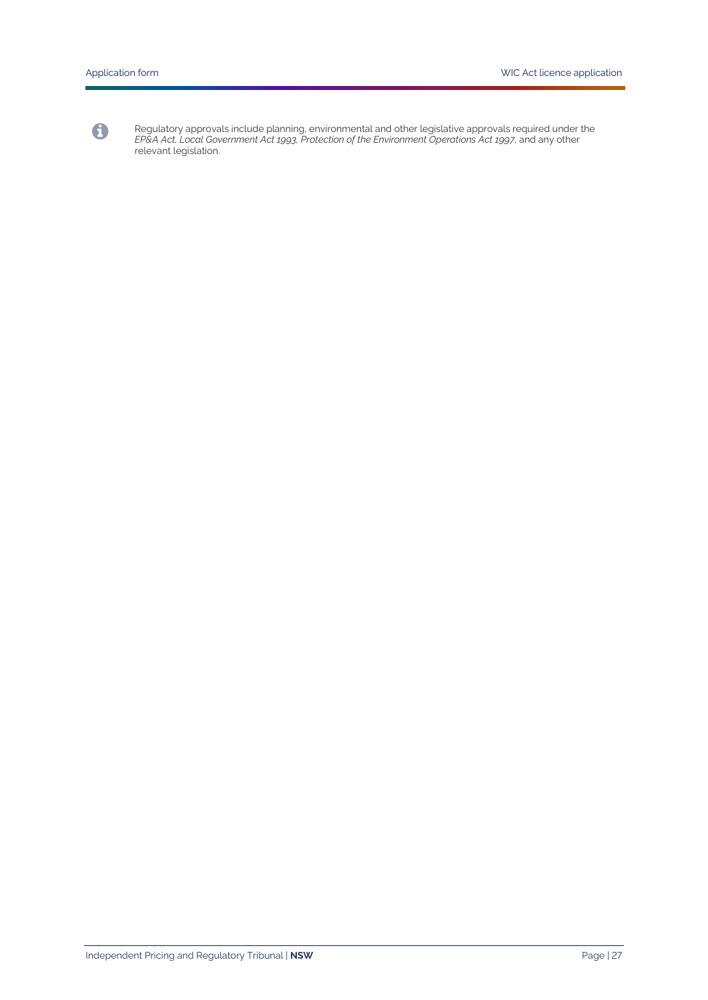

Regulatory approvals include planning, environmental and other legislative approvals required under the *EP&A Act, Local Government Act 1993, Protection of the Environment Operations Act 1997*, and any other relevant legislation.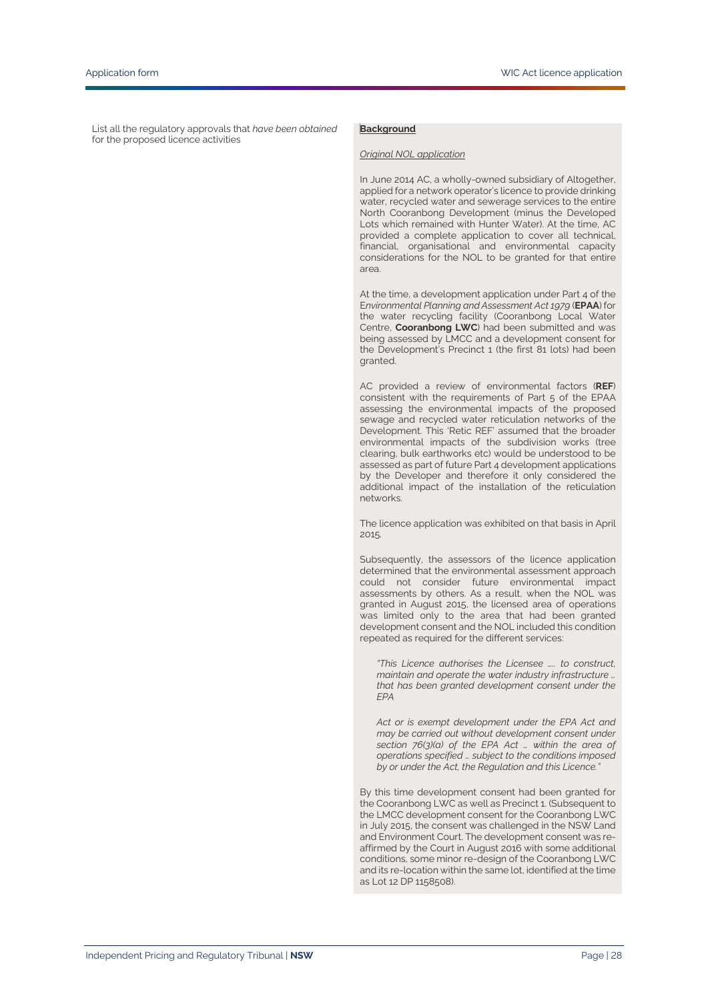List all the regulatory approvals that *have been obtained* for the proposed licence activities

#### **Background**

#### *Original NOL application*

In June 2014 AC, a wholly-owned subsidiary of Altogether, applied for a network operator's licence to provide drinking water, recycled water and sewerage services to the entire North Cooranbong Development (minus the Developed Lots which remained with Hunter Water). At the time, AC provided a complete application to cover all technical, financial, organisational and environmental capacity considerations for the NOL to be granted for that entire area.

At the time, a development application under Part 4 of the E*nvironmental Planning and Assessment Act 1979* (**EPAA**) for the water recycling facility (Cooranbong Local Water Centre, **Cooranbong LWC**) had been submitted and was being assessed by LMCC and a development consent for the Development's Precinct 1 (the first 81 lots) had been granted.

AC provided a review of environmental factors (**REF**) consistent with the requirements of Part 5 of the EPAA assessing the environmental impacts of the proposed sewage and recycled water reticulation networks of the Development. This 'Retic REF' assumed that the broader environmental impacts of the subdivision works (tree clearing, bulk earthworks etc) would be understood to be assessed as part of future Part 4 development applications by the Developer and therefore it only considered the additional impact of the installation of the reticulation networks.

The licence application was exhibited on that basis in April 2015.

Subsequently, the assessors of the licence application determined that the environmental assessment approach could not consider future environmental impact assessments by others. As a result, when the NOL was granted in August 2015, the licensed area of operations was limited only to the area that had been granted development consent and the NOL included this condition repeated as required for the different services:

*"This Licence authorises the Licensee ….. to construct, maintain and operate the water industry infrastructure … that has been granted development consent under the EPA*

*Act or is exempt development under the EPA Act and may be carried out without development consent under section 76(3)(a) of the EPA Act … within the area of operations specified … subject to the conditions imposed by or under the Act, the Regulation and this Licence."*

By this time development consent had been granted for the Cooranbong LWC as well as Precinct 1. (Subsequent to the LMCC development consent for the Cooranbong LWC in July 2015, the consent was challenged in the NSW Land and Environment Court. The development consent was reaffirmed by the Court in August 2016 with some additional conditions, some minor re-design of the Cooranbong LWC and its re-location within the same lot, identified at the time as Lot 12 DP 1158508).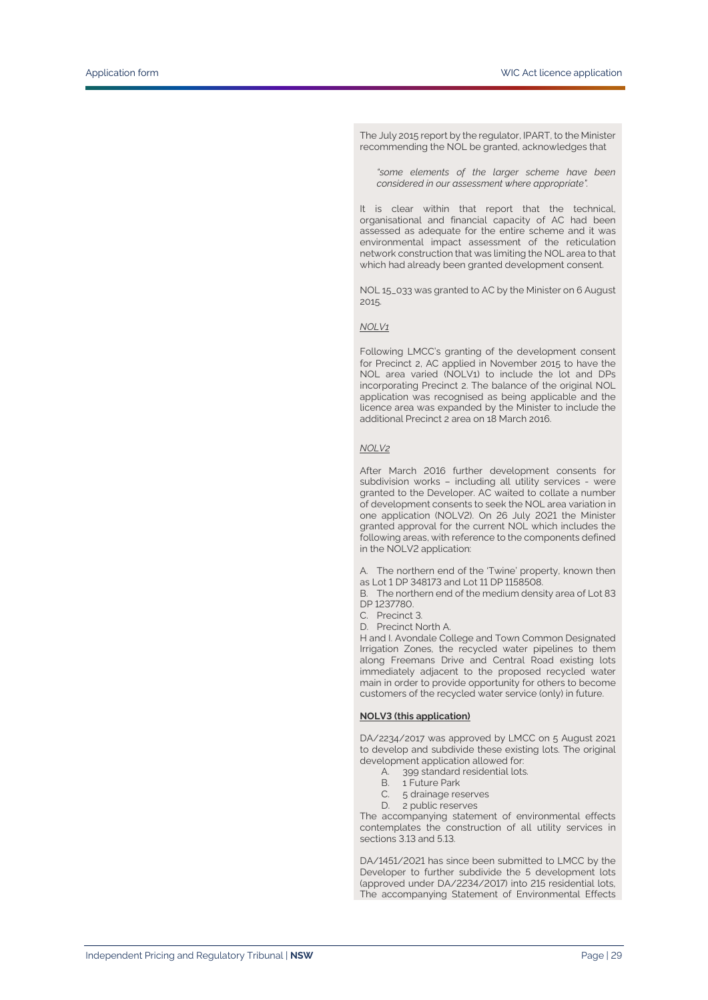The July 2015 report by the regulator, IPART, to the Minister recommending the NOL be granted, acknowledges that

*"some elements of the larger scheme have been considered in our assessment where appropriate".* 

It is clear within that report that the technical, organisational and financial capacity of AC had been assessed as adequate for the entire scheme and it was environmental impact assessment of the reticulation network construction that was limiting the NOL area to that which had already been granted development consent.

NOL 15\_033 was granted to AC by the Minister on 6 August 2015.

#### *NOLV1*

Following LMCC's granting of the development consent for Precinct 2, AC applied in November 2015 to have the NOL area varied (NOLV1) to include the lot and DPs incorporating Precinct 2. The balance of the original NOL application was recognised as being applicable and the licence area was expanded by the Minister to include the additional Precinct 2 area on 18 March 2016.

#### *NOLV2*

After March 2016 further development consents for subdivision works – including all utility services - were granted to the Developer. AC waited to collate a number of development consents to seek the NOL area variation in one application (NOLV2). On 26 July 2021 the Minister granted approval for the current NOL which includes the following areas, with reference to the components defined in the NOLV2 application:

A. The northern end of the 'Twine' property, known then as Lot 1 DP 348173 and Lot 11 DP 1158508.

B. The northern end of the medium density area of Lot 83 DP 1237780.

- C. Precinct 3.
- D. Precinct North A.

H and I. Avondale College and Town Common Designated Irrigation Zones, the recycled water pipelines to them along Freemans Drive and Central Road existing lots immediately adjacent to the proposed recycled water main in order to provide opportunity for others to become customers of the recycled water service (only) in future.

#### **NOLV3 (this application)**

DA/2234/2017 was approved by LMCC on 5 August 2021 to develop and subdivide these existing lots. The original development application allowed for:

- A. 399 standard residential lots.
- B. 1 Future Park
- C. 5 drainage reserves
- D. 2 public reserves

The accompanying statement of environmental effects contemplates the construction of all utility services in sections 3.13 and 5.13.

DA/1451/2021 has since been submitted to LMCC by the Developer to further subdivide the 5 development lots (approved under DA/2234/2017) into 215 residential lots, The accompanying Statement of Environmental Effects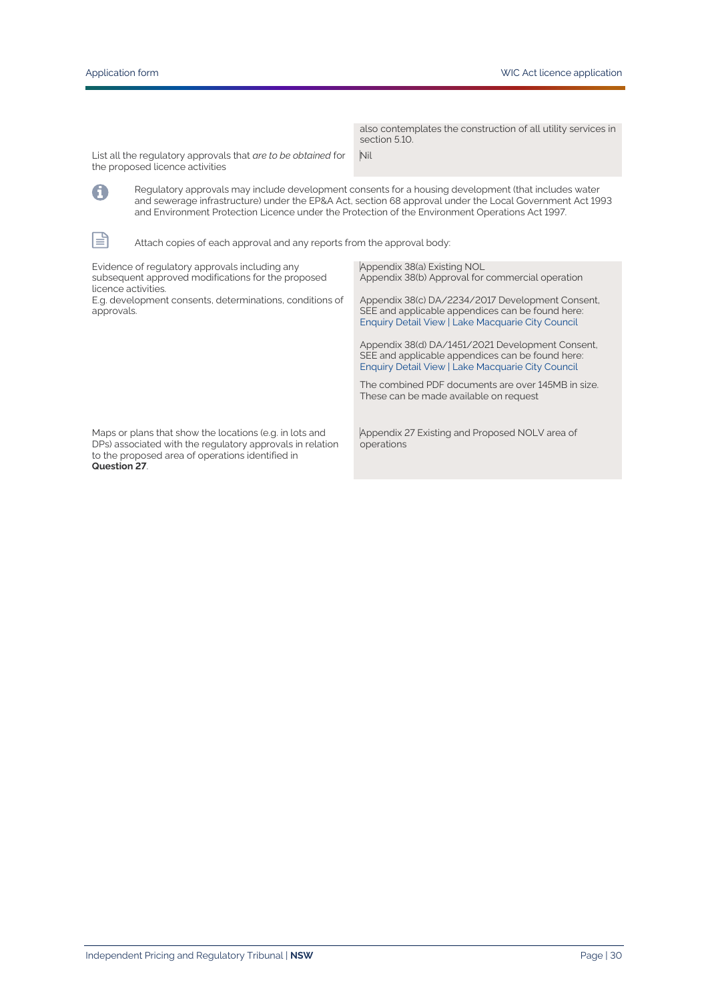A

 $\mathbb{P}$ 

also contemplates the construction of all utility services in section 5.10. Nil

List all the regulatory approvals that *are to be obtained* for the proposed licence activities

> Regulatory approvals may include development consents for a housing development (that includes water and sewerage infrastructure) under the EP&A Act, section 68 approval under the Local Government Act 1993 and Environment Protection Licence under the Protection of the Environment Operations Act 1997.

Attach copies of each approval and any reports from the approval body:

| Evidence of regulatory approvals including any<br>subsequent approved modifications for the proposed<br>licence activities.                                                              | Appendix 38(a) Existing NOL<br>Appendix 38(b) Approval for commercial operation                                                                           |
|------------------------------------------------------------------------------------------------------------------------------------------------------------------------------------------|-----------------------------------------------------------------------------------------------------------------------------------------------------------|
| E.g. development consents, determinations, conditions of<br>approvals.                                                                                                                   | Appendix 38(c) DA/2234/2017 Development Consent,<br>SEE and applicable appendices can be found here:<br>Enquiry Detail View   Lake Macquarie City Council |
|                                                                                                                                                                                          | Appendix 38(d) DA/1451/2021 Development Consent,<br>SEE and applicable appendices can be found here:<br>Enquiry Detail View   Lake Macquarie City Council |
|                                                                                                                                                                                          | The combined PDF documents are over 145MB in size.<br>These can be made available on request                                                              |
| Maps or plans that show the locations (e.g. in lots and<br>DPs) associated with the regulatory approvals in relation<br>to the proposed area of operations identified in<br>Question 27. | Appendix 27 Existing and Proposed NOLV area of<br>operations                                                                                              |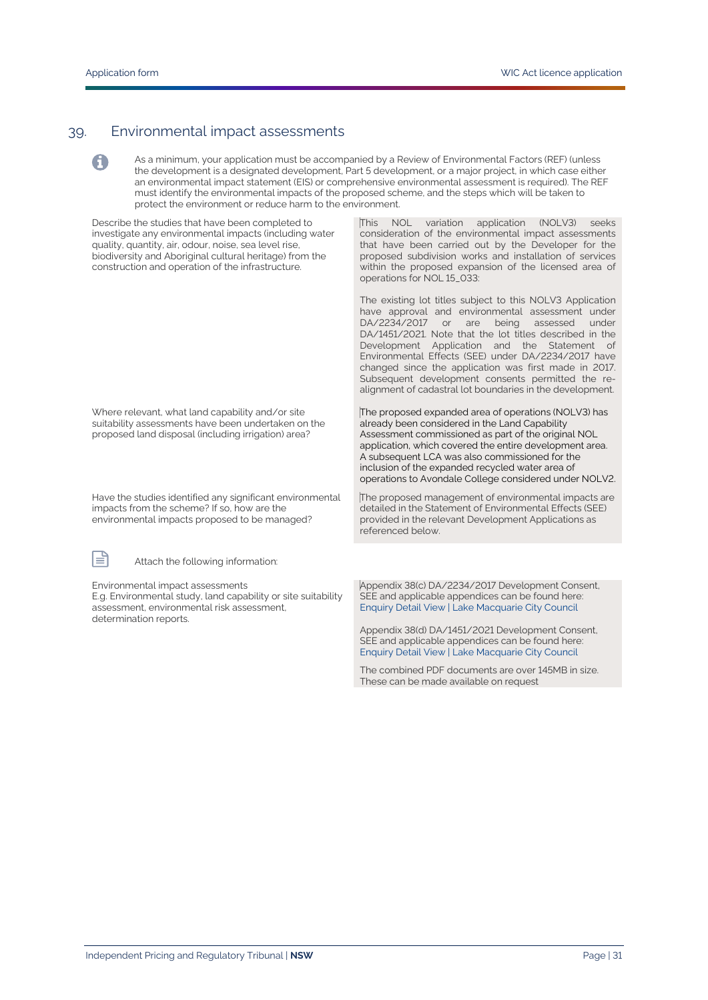0

#### 39. Environmental impact assessments

As a minimum, your application must be accompanied by a Review of Environmental Factors (REF) (unless the development is a designated development, Part 5 development, or a major project, in which case either an environmental impact statement (EIS) or comprehensive environmental assessment is required). The REF must identify the environmental impacts of the proposed scheme, and the steps which will be taken to protect the environment or reduce harm to the environment.

Describe the studies that have been completed to investigate any environmental impacts (including water quality, quantity, air, odour, noise, sea level rise, biodiversity and Aboriginal cultural heritage) from the construction and operation of the infrastructure.

This NOL variation application (NOLV3) seeks consideration of the environmental impact assessments that have been carried out by the Developer for the proposed subdivision works and installation of services within the proposed expansion of the licensed area of operations for NOL 15\_033:

The existing lot titles subject to this NOLV3 Application have approval and environmental assessment under DA/2234/2017 or are being assessed under DA/1451/2021. Note that the lot titles described in the Development Application and the Statement of Environmental Effects (SEE) under DA/2234/2017 have changed since the application was first made in 2017. Subsequent development consents permitted the realignment of cadastral lot boundaries in the development.

Where relevant, what land capability and/or site suitability assessments have been undertaken on the proposed land disposal (including irrigation) area?

Have the studies identified any significant environmental impacts from the scheme? If so, how are the environmental impacts proposed to be managed?

Attach the following information:

Environmental impact assessments

E.g. Environmental study, land capability or site suitability assessment, environmental risk assessment, determination reports.

already been considered in the Land Capability Assessment commissioned as part of the original NOL application, which covered the entire development area. A subsequent LCA was also commissioned for the inclusion of the expanded recycled water area of operations to Avondale College considered under NOLV2.

The proposed expanded area of operations (NOLV3) has

The proposed management of environmental impacts are detailed in the Statement of Environmental Effects (SEE) provided in the relevant Development Applications as referenced below.

Appendix 38(c) DA/2234/2017 Development Consent, SEE and applicable appendices can be found here: [Enquiry Detail View | Lake Macquarie City Council](https://property.lakemac.com.au/ePathway/Production/Web/GeneralEnquiry/EnquiryDetailView.aspx?Id=1024474) 

Appendix 38(d) DA/1451/2021 Development Consent, SEE and applicable appendices can be found here: [Enquiry Detail View | Lake Macquarie City Council](https://property.lakemac.com.au/ePathway/Production/Web/GeneralEnquiry/EnquiryDetailView.aspx?Id=1509677)

The combined PDF documents are over 145MB in size. These can be made available on request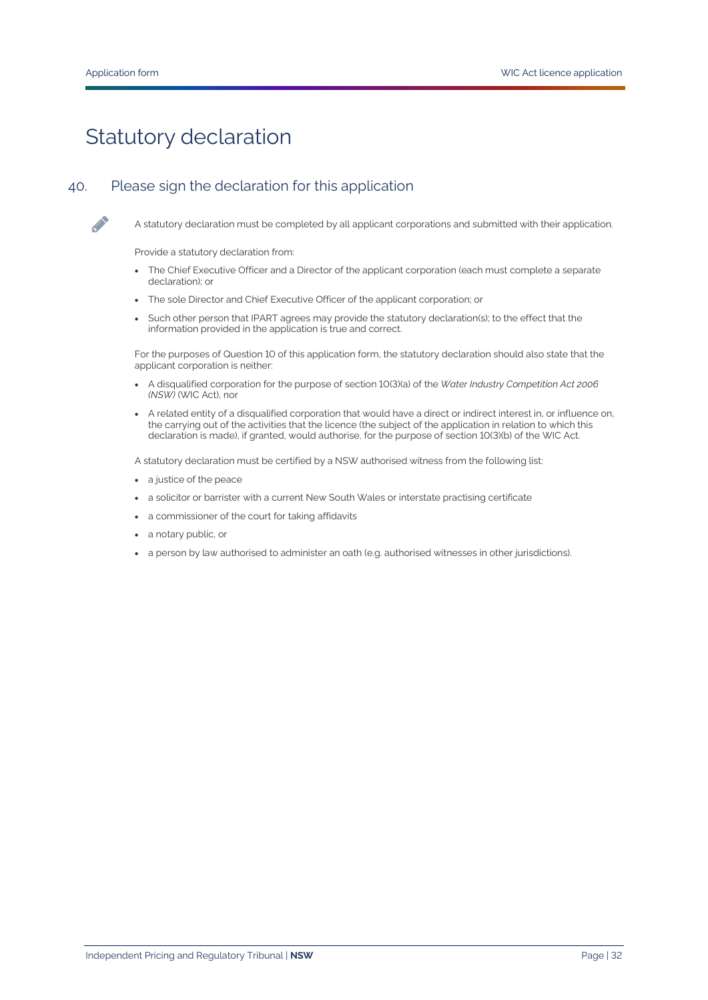# Statutory declaration

# 40. Please sign the declaration for this application



A statutory declaration must be completed by all applicant corporations and submitted with their application.

Provide a statutory declaration from:

- The Chief Executive Officer and a Director of the applicant corporation (each must complete a separate declaration); or
- The sole Director and Chief Executive Officer of the applicant corporation; or
- Such other person that IPART agrees may provide the statutory declaration(s); to the effect that the information provided in the application is true and correct.

For the purposes of Question 10 of this application form, the statutory declaration should also state that the applicant corporation is neither:

- A disqualified corporation for the purpose of section 10(3)(a) of the *Water Industry Competition Act 2006 (NSW)* (WIC Act), nor
- A related entity of a disqualified corporation that would have a direct or indirect interest in, or influence on, the carrying out of the activities that the licence (the subject of the application in relation to which this declaration is made), if granted, would authorise, for the purpose of section 10(3)(b) of the WIC Act.

A statutory declaration must be certified by a NSW authorised witness from the following list:

- a justice of the peace
- a solicitor or barrister with a current New South Wales or interstate practising certificate
- a commissioner of the court for taking affidavits
- a notary public, or
- a person by law authorised to administer an oath (e.g. authorised witnesses in other jurisdictions).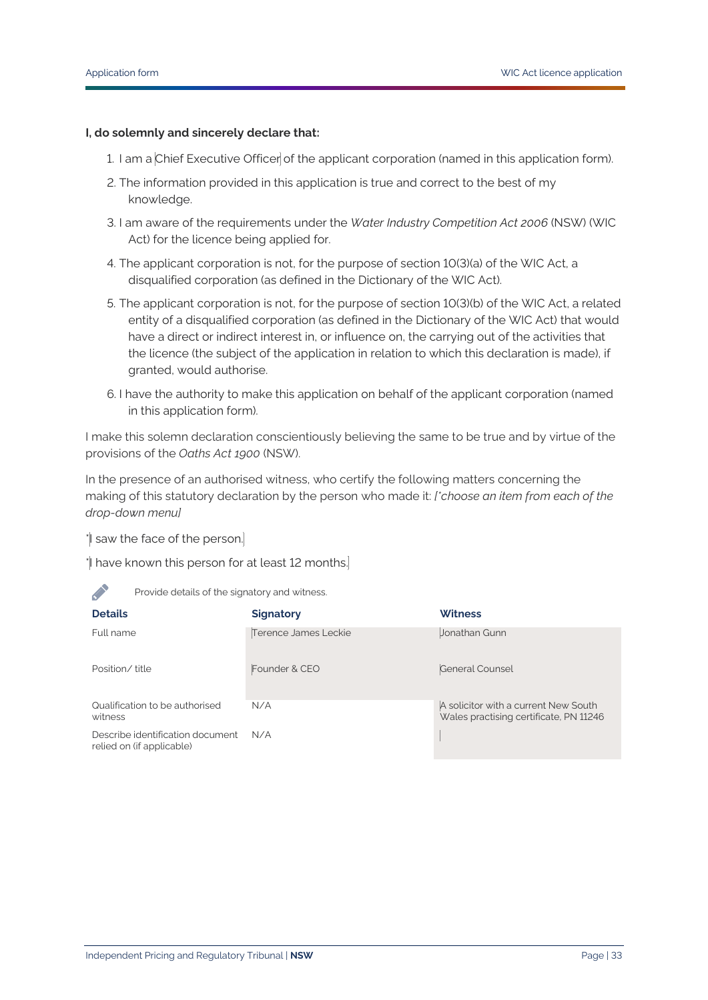#### **I, do solemnly and sincerely declare that:**

- 1. I am a Chief Executive Officer of the applicant corporation (named in this application form).
- 2. The information provided in this application is true and correct to the best of my knowledge.
- 3. I am aware of the requirements under the *Water Industry Competition Act 2006* (NSW) (WIC Act) for the licence being applied for.
- 4. The applicant corporation is not, for the purpose of section 10(3)(a) of the WIC Act, a disqualified corporation (as defined in the Dictionary of the WIC Act).
- 5. The applicant corporation is not, for the purpose of section 10(3)(b) of the WIC Act, a related entity of a disqualified corporation (as defined in the Dictionary of the WIC Act) that would have a direct or indirect interest in, or influence on, the carrying out of the activities that the licence (the subject of the application in relation to which this declaration is made), if granted, would authorise.
- 6. I have the authority to make this application on behalf of the applicant corporation (named in this application form).

I make this solemn declaration conscientiously believing the same to be true and by virtue of the provisions of the *Oaths Act 1900* (NSW).

In the presence of an authorised witness, who certify the following matters concerning the making of this statutory declaration by the person who made it: *[\*choose an item from each of the drop-down menu]*

\*I saw the face of the person.

\*I have known this person for at least 12 months.

Provide details of the signatory and witness.

| <b>Details</b>                                                | <b>Signatory</b>     | <b>Witness</b>                                                                 |
|---------------------------------------------------------------|----------------------|--------------------------------------------------------------------------------|
| Full name                                                     | Terence James Leckie | Jonathan Gunn                                                                  |
| Position/title                                                | Founder & CEO        | General Counsel                                                                |
| Qualification to be authorised<br>witness                     | N/A                  | A solicitor with a current New South<br>Wales practising certificate, PN 11246 |
| Describe identification document<br>relied on (if applicable) | N/A                  |                                                                                |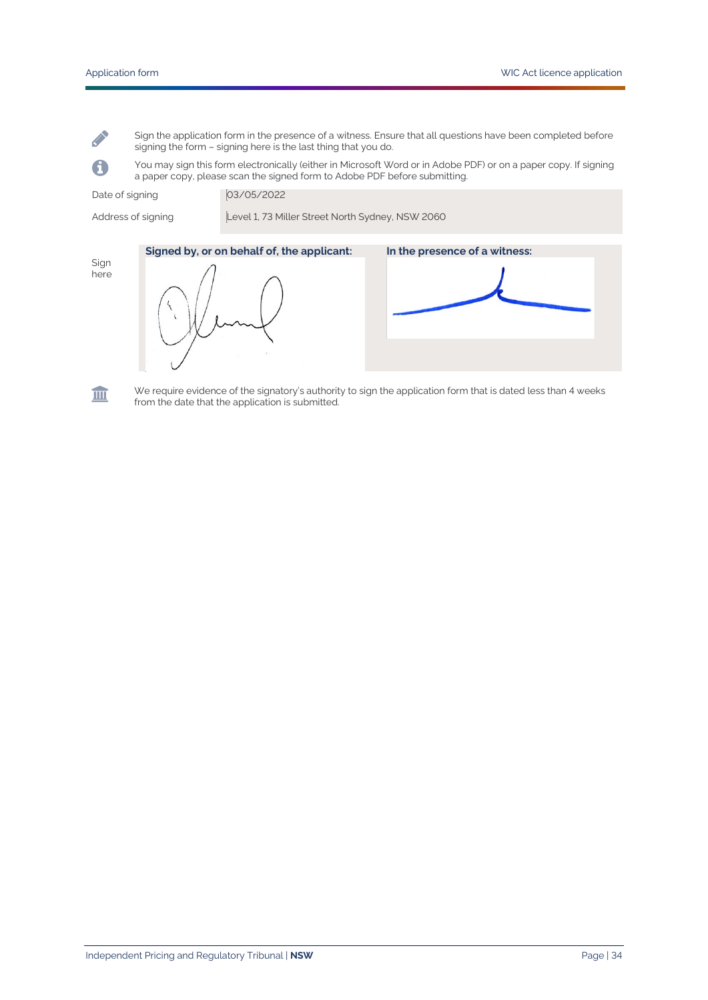Sign the application form in the presence of a witness. Ensure that all questions have been completed before signing the form – signing here is the last thing that you do.

You may sign this form electronically (either in Microsoft Word or in Adobe PDF) or on a paper copy. If signing a paper copy, please scan the signed form to Adobe PDF before submitting.

Date of signing 03/05/2022

Address of signing Level 1, 73 Miller Street North Sydney, NSW 2060

Sign here

**Contract Contract** 

A



皿

We require evidence of the signatory's authority to sign the application form that is dated less than 4 weeks from the date that the application is submitted.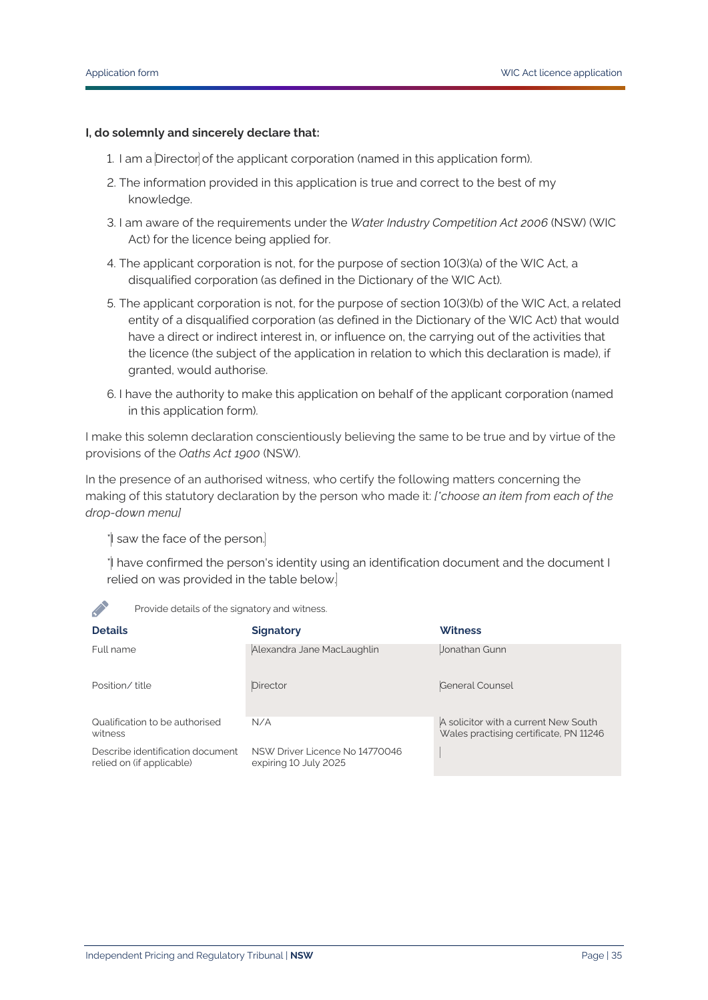#### **I, do solemnly and sincerely declare that:**

- 1. I am a Director of the applicant corporation (named in this application form).
- 2. The information provided in this application is true and correct to the best of my knowledge.
- 3. I am aware of the requirements under the *Water Industry Competition Act 2006* (NSW) (WIC Act) for the licence being applied for.
- 4. The applicant corporation is not, for the purpose of section 10(3)(a) of the WIC Act, a disqualified corporation (as defined in the Dictionary of the WIC Act).
- 5. The applicant corporation is not, for the purpose of section 10(3)(b) of the WIC Act, a related entity of a disqualified corporation (as defined in the Dictionary of the WIC Act) that would have a direct or indirect interest in, or influence on, the carrying out of the activities that the licence (the subject of the application in relation to which this declaration is made), if granted, would authorise.
- 6. I have the authority to make this application on behalf of the applicant corporation (named in this application form).

I make this solemn declaration conscientiously believing the same to be true and by virtue of the provisions of the *Oaths Act 1900* (NSW).

In the presence of an authorised witness, who certify the following matters concerning the making of this statutory declaration by the person who made it: *[\*choose an item from each of the drop-down menu]*

\*I saw the face of the person.

\*I have confirmed the person's identity using an identification document and the document I relied on was provided in the table below.

| <b>Details</b>                                                | <b>Signatory</b>                                        | <b>Witness</b>                                                                 |
|---------------------------------------------------------------|---------------------------------------------------------|--------------------------------------------------------------------------------|
| Full name                                                     | Alexandra Jane MacLaughlin                              | Jonathan Gunn                                                                  |
| Position/title                                                | <b>Director</b>                                         | General Counsel                                                                |
| Qualification to be authorised<br>witness                     | N/A                                                     | A solicitor with a current New South<br>Wales practising certificate, PN 11246 |
| Describe identification document<br>relied on (if applicable) | NSW Driver Licence No 14770046<br>expiring 10 July 2025 |                                                                                |

Provide details of the signatory and witness.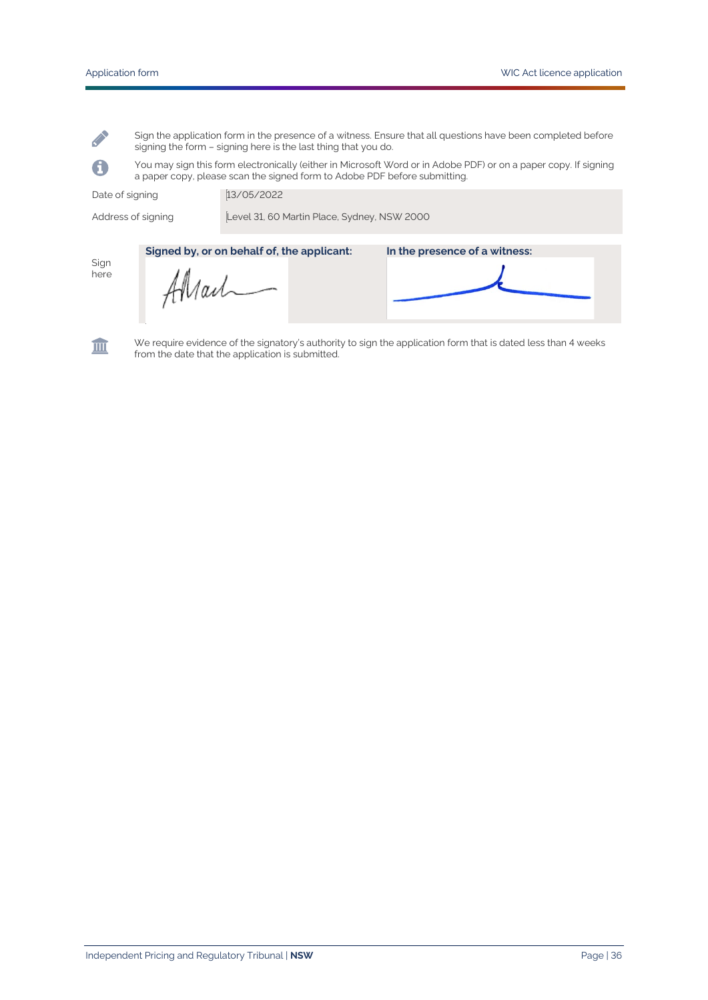Sign the application form in the presence of a witness. Ensure that all questions have been completed before signing the form – signing here is the last thing that you do.

You may sign this form electronically (either in Microsoft Word or in Adobe PDF) or on a paper copy. If signing a paper copy, please scan the signed form to Adobe PDF before submitting.

Date of signing 13/05/2022

Address of signing Level 31, 60 Martin Place, Sydney, NSW 2000

Sign here

**Contract Contract** 

A

Allail

**Signed by, or on behalf of, the applicant: In the presence of a witness:**



We require evidence of the signatory's authority to sign the application form that is dated less than 4 weeks from the date that the application is submitted.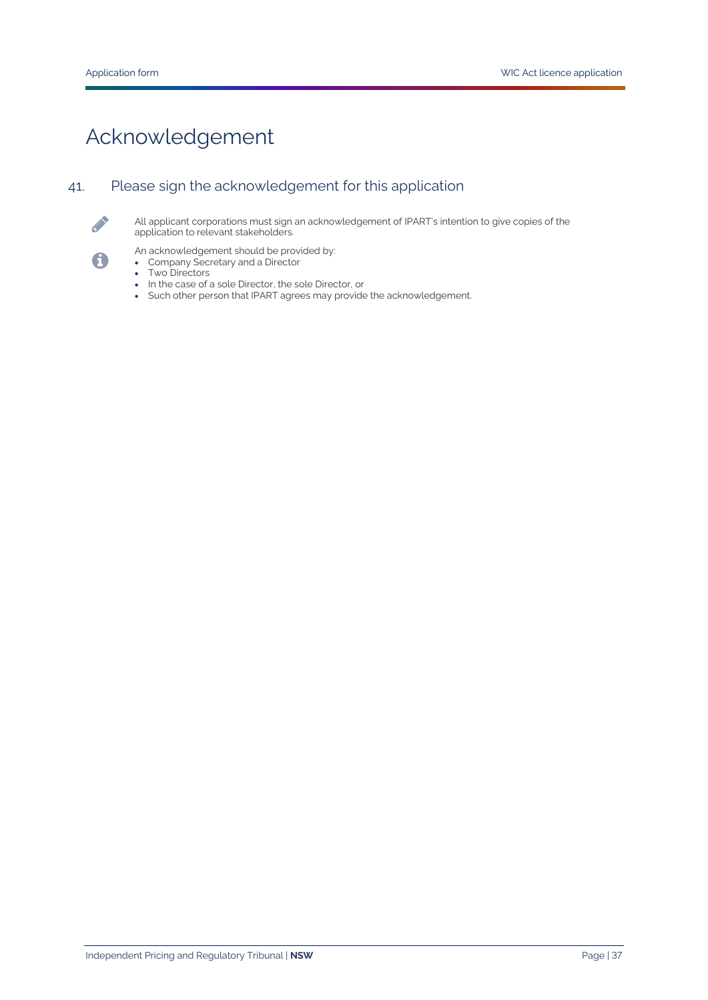# Acknowledgement

# 41. Please sign the acknowledgement for this application



6

All applicant corporations must sign an acknowledgement of IPART's intention to give copies of the application to relevant stakeholders.

An acknowledgement should be provided by:

- Company Secretary and a Director
- Two Directors
- In the case of a sole Director, the sole Director, or
- Such other person that IPART agrees may provide the acknowledgement.